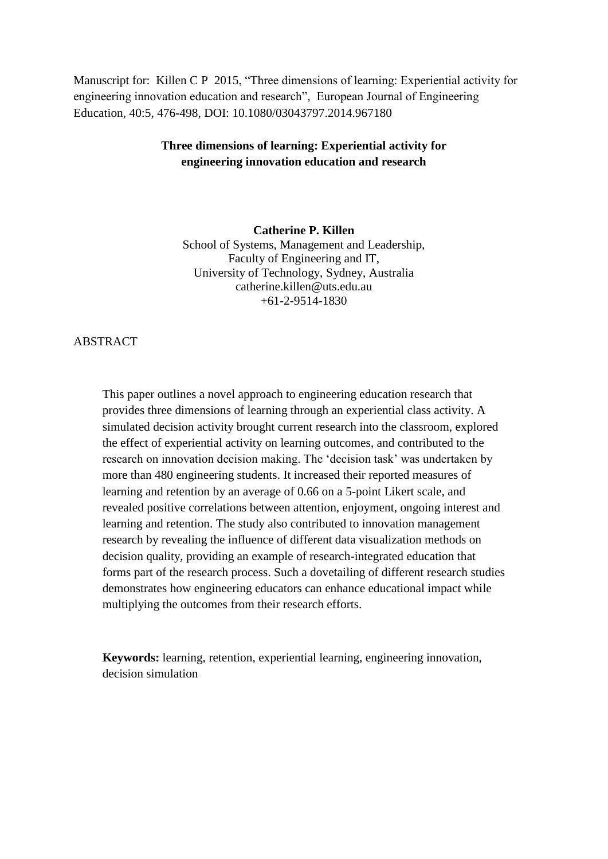Manuscript for: Killen C P 2015, "Three dimensions of learning: Experiential activity for engineering innovation education and research", European Journal of Engineering Education, 40:5, 476-498, DOI: 10.1080/03043797.2014.967180

# **Three dimensions of learning: Experiential activity for engineering innovation education and research**

**Catherine P. Killen** School of Systems, Management and Leadership, Faculty of Engineering and IT, University of Technology, Sydney, Australia catherine.killen@uts.edu.au +61-2-9514-1830

ABSTRACT

This paper outlines a novel approach to engineering education research that provides three dimensions of learning through an experiential class activity. A simulated decision activity brought current research into the classroom, explored the effect of experiential activity on learning outcomes, and contributed to the research on innovation decision making. The "decision task" was undertaken by more than 480 engineering students. It increased their reported measures of learning and retention by an average of 0.66 on a 5-point Likert scale, and revealed positive correlations between attention, enjoyment, ongoing interest and learning and retention. The study also contributed to innovation management research by revealing the influence of different data visualization methods on decision quality, providing an example of research-integrated education that forms part of the research process. Such a dovetailing of different research studies demonstrates how engineering educators can enhance educational impact while multiplying the outcomes from their research efforts.

**Keywords:** learning, retention, experiential learning, engineering innovation, decision simulation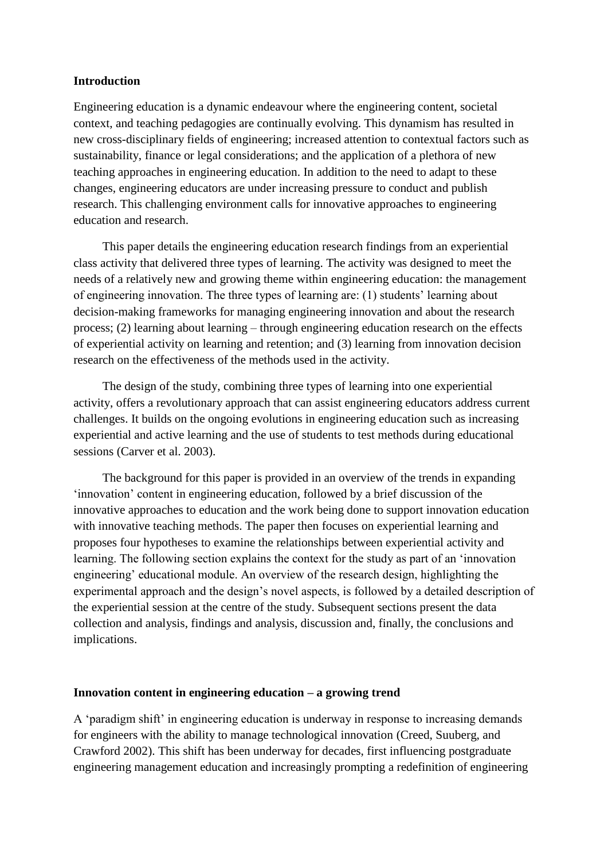# **Introduction**

Engineering education is a dynamic endeavour where the engineering content, societal context, and teaching pedagogies are continually evolving. This dynamism has resulted in new cross-disciplinary fields of engineering; increased attention to contextual factors such as sustainability, finance or legal considerations; and the application of a plethora of new teaching approaches in engineering education. In addition to the need to adapt to these changes, engineering educators are under increasing pressure to conduct and publish research. This challenging environment calls for innovative approaches to engineering education and research.

This paper details the engineering education research findings from an experiential class activity that delivered three types of learning. The activity was designed to meet the needs of a relatively new and growing theme within engineering education: the management of engineering innovation. The three types of learning are: (1) students" learning about decision-making frameworks for managing engineering innovation and about the research process; (2) learning about learning – through engineering education research on the effects of experiential activity on learning and retention; and (3) learning from innovation decision research on the effectiveness of the methods used in the activity.

The design of the study, combining three types of learning into one experiential activity, offers a revolutionary approach that can assist engineering educators address current challenges. It builds on the ongoing evolutions in engineering education such as increasing experiential and active learning and the use of students to test methods during educational sessions (Carver et al. 2003).

The background for this paper is provided in an overview of the trends in expanding "innovation" content in engineering education, followed by a brief discussion of the innovative approaches to education and the work being done to support innovation education with innovative teaching methods. The paper then focuses on experiential learning and proposes four hypotheses to examine the relationships between experiential activity and learning. The following section explains the context for the study as part of an "innovation engineering" educational module. An overview of the research design, highlighting the experimental approach and the design's novel aspects, is followed by a detailed description of the experiential session at the centre of the study. Subsequent sections present the data collection and analysis, findings and analysis, discussion and, finally, the conclusions and implications.

#### **Innovation content in engineering education – a growing trend**

A "paradigm shift" in engineering education is underway in response to increasing demands for engineers with the ability to manage technological innovation (Creed, Suuberg, and Crawford 2002). This shift has been underway for decades, first influencing postgraduate engineering management education and increasingly prompting a redefinition of engineering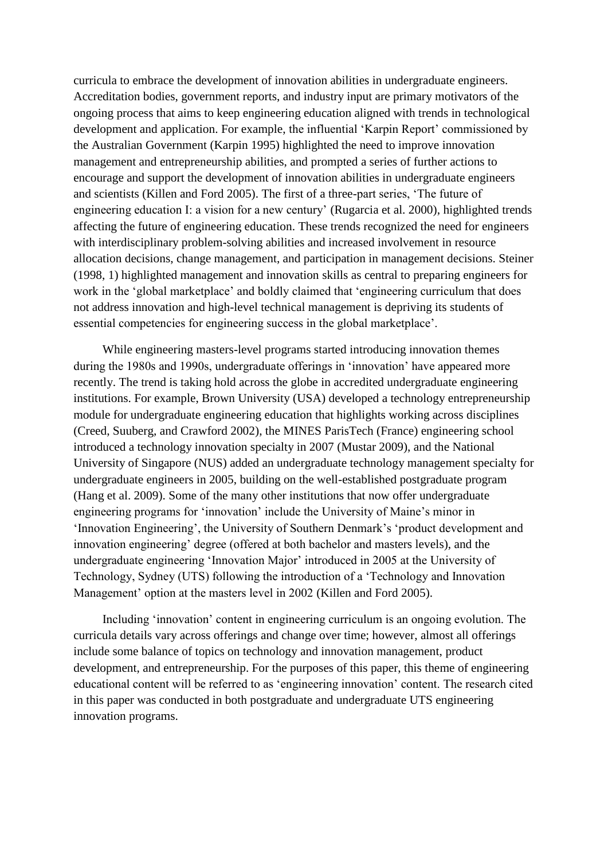curricula to embrace the development of innovation abilities in undergraduate engineers. Accreditation bodies, government reports, and industry input are primary motivators of the ongoing process that aims to keep engineering education aligned with trends in technological development and application. For example, the influential 'Karpin Report' commissioned by the Australian Government (Karpin 1995) highlighted the need to improve innovation management and entrepreneurship abilities, and prompted a series of further actions to encourage and support the development of innovation abilities in undergraduate engineers and scientists (Killen and Ford 2005). The first of a three-part series, "The future of engineering education I: a vision for a new century' (Rugarcia et al. 2000), highlighted trends affecting the future of engineering education. These trends recognized the need for engineers with interdisciplinary problem-solving abilities and increased involvement in resource allocation decisions, change management, and participation in management decisions. Steiner (1998, 1) highlighted management and innovation skills as central to preparing engineers for work in the "global marketplace" and boldly claimed that "engineering curriculum that does not address innovation and high-level technical management is depriving its students of essential competencies for engineering success in the global marketplace".

While engineering masters-level programs started introducing innovation themes during the 1980s and 1990s, undergraduate offerings in "innovation" have appeared more recently. The trend is taking hold across the globe in accredited undergraduate engineering institutions. For example, Brown University (USA) developed a technology entrepreneurship module for undergraduate engineering education that highlights working across disciplines (Creed, Suuberg, and Crawford 2002), the MINES ParisTech (France) engineering school introduced a technology innovation specialty in 2007 (Mustar 2009), and the National University of Singapore (NUS) added an undergraduate technology management specialty for undergraduate engineers in 2005, building on the well-established postgraduate program (Hang et al. 2009). Some of the many other institutions that now offer undergraduate engineering programs for "innovation" include the University of Maine"s minor in 'Innovation Engineering', the University of Southern Denmark's 'product development and innovation engineering" degree (offered at both bachelor and masters levels), and the undergraduate engineering "Innovation Major" introduced in 2005 at the University of Technology, Sydney (UTS) following the introduction of a "Technology and Innovation Management' option at the masters level in 2002 (Killen and Ford 2005).

Including 'innovation' content in engineering curriculum is an ongoing evolution. The curricula details vary across offerings and change over time; however, almost all offerings include some balance of topics on technology and innovation management, product development, and entrepreneurship. For the purposes of this paper, this theme of engineering educational content will be referred to as "engineering innovation" content. The research cited in this paper was conducted in both postgraduate and undergraduate UTS engineering innovation programs.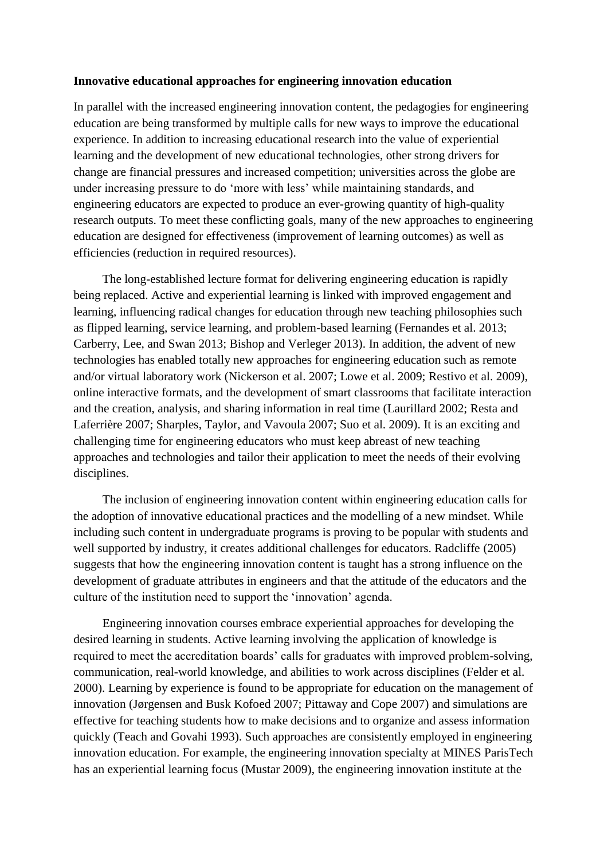# **Innovative educational approaches for engineering innovation education**

In parallel with the increased engineering innovation content, the pedagogies for engineering education are being transformed by multiple calls for new ways to improve the educational experience. In addition to increasing educational research into the value of experiential learning and the development of new educational technologies, other strong drivers for change are financial pressures and increased competition; universities across the globe are under increasing pressure to do "more with less" while maintaining standards, and engineering educators are expected to produce an ever-growing quantity of high-quality research outputs. To meet these conflicting goals, many of the new approaches to engineering education are designed for effectiveness (improvement of learning outcomes) as well as efficiencies (reduction in required resources).

The long-established lecture format for delivering engineering education is rapidly being replaced. Active and experiential learning is linked with improved engagement and learning, influencing radical changes for education through new teaching philosophies such as flipped learning, service learning, and problem-based learning (Fernandes et al. 2013; Carberry, Lee, and Swan 2013; Bishop and Verleger 2013). In addition, the advent of new technologies has enabled totally new approaches for engineering education such as remote and/or virtual laboratory work (Nickerson et al. 2007; Lowe et al. 2009; Restivo et al. 2009), online interactive formats, and the development of smart classrooms that facilitate interaction and the creation, analysis, and sharing information in real time (Laurillard 2002; Resta and Laferrière 2007; Sharples, Taylor, and Vavoula 2007; Suo et al. 2009). It is an exciting and challenging time for engineering educators who must keep abreast of new teaching approaches and technologies and tailor their application to meet the needs of their evolving disciplines.

The inclusion of engineering innovation content within engineering education calls for the adoption of innovative educational practices and the modelling of a new mindset. While including such content in undergraduate programs is proving to be popular with students and well supported by industry, it creates additional challenges for educators. Radcliffe (2005) suggests that how the engineering innovation content is taught has a strong influence on the development of graduate attributes in engineers and that the attitude of the educators and the culture of the institution need to support the "innovation" agenda.

Engineering innovation courses embrace experiential approaches for developing the desired learning in students. Active learning involving the application of knowledge is required to meet the accreditation boards' calls for graduates with improved problem-solving, communication, real-world knowledge, and abilities to work across disciplines (Felder et al. 2000). Learning by experience is found to be appropriate for education on the management of innovation (Jørgensen and Busk Kofoed 2007; Pittaway and Cope 2007) and simulations are effective for teaching students how to make decisions and to organize and assess information quickly (Teach and Govahi 1993). Such approaches are consistently employed in engineering innovation education. For example, the engineering innovation specialty at MINES ParisTech has an experiential learning focus (Mustar 2009), the engineering innovation institute at the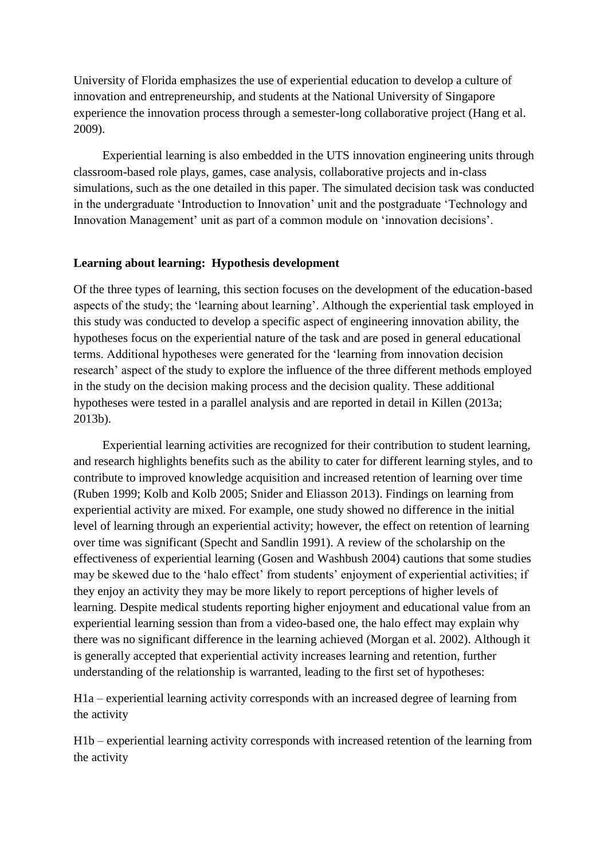University of Florida emphasizes the use of experiential education to develop a culture of innovation and entrepreneurship, and students at the National University of Singapore experience the innovation process through a semester-long collaborative project (Hang et al. 2009).

Experiential learning is also embedded in the UTS innovation engineering units through classroom-based role plays, games, case analysis, collaborative projects and in-class simulations, such as the one detailed in this paper. The simulated decision task was conducted in the undergraduate "Introduction to Innovation" unit and the postgraduate "Technology and Innovation Management' unit as part of a common module on 'innovation decisions'.

# **Learning about learning: Hypothesis development**

Of the three types of learning, this section focuses on the development of the education-based aspects of the study; the "learning about learning". Although the experiential task employed in this study was conducted to develop a specific aspect of engineering innovation ability, the hypotheses focus on the experiential nature of the task and are posed in general educational terms. Additional hypotheses were generated for the "learning from innovation decision research" aspect of the study to explore the influence of the three different methods employed in the study on the decision making process and the decision quality. These additional hypotheses were tested in a parallel analysis and are reported in detail in Killen (2013a; 2013b).

Experiential learning activities are recognized for their contribution to student learning, and research highlights benefits such as the ability to cater for different learning styles, and to contribute to improved knowledge acquisition and increased retention of learning over time (Ruben 1999; Kolb and Kolb 2005; Snider and Eliasson 2013). Findings on learning from experiential activity are mixed. For example, one study showed no difference in the initial level of learning through an experiential activity; however, the effect on retention of learning over time was significant (Specht and Sandlin 1991). A review of the scholarship on the effectiveness of experiential learning (Gosen and Washbush 2004) cautions that some studies may be skewed due to the 'halo effect' from students' enjoyment of experiential activities; if they enjoy an activity they may be more likely to report perceptions of higher levels of learning. Despite medical students reporting higher enjoyment and educational value from an experiential learning session than from a video-based one, the halo effect may explain why there was no significant difference in the learning achieved (Morgan et al. 2002). Although it is generally accepted that experiential activity increases learning and retention, further understanding of the relationship is warranted, leading to the first set of hypotheses:

H1a – experiential learning activity corresponds with an increased degree of learning from the activity

H1b – experiential learning activity corresponds with increased retention of the learning from the activity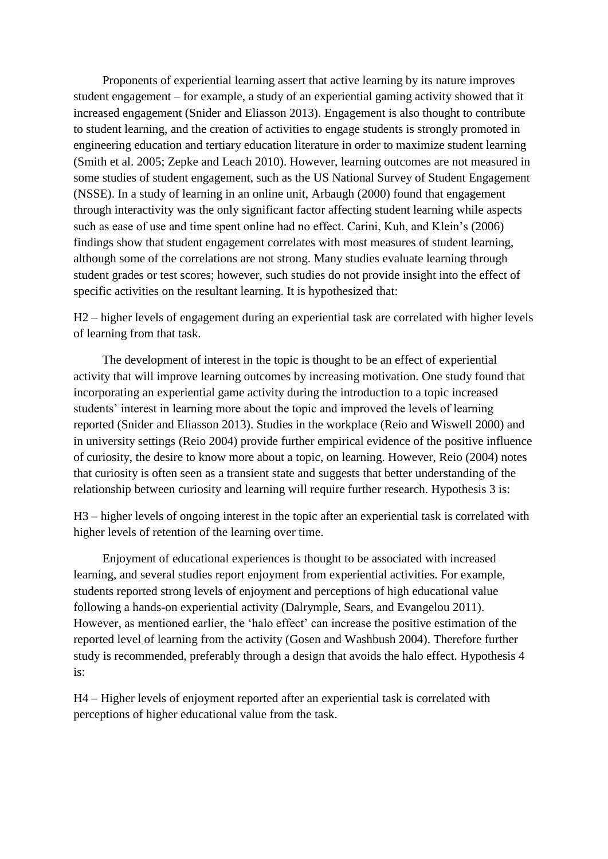Proponents of experiential learning assert that active learning by its nature improves student engagement – for example, a study of an experiential gaming activity showed that it increased engagement (Snider and Eliasson 2013). Engagement is also thought to contribute to student learning, and the creation of activities to engage students is strongly promoted in engineering education and tertiary education literature in order to maximize student learning (Smith et al. 2005; Zepke and Leach 2010). However, learning outcomes are not measured in some studies of student engagement, such as the US National Survey of Student Engagement (NSSE). In a study of learning in an online unit, Arbaugh (2000) found that engagement through interactivity was the only significant factor affecting student learning while aspects such as ease of use and time spent online had no effect. Carini, Kuh, and Klein"s (2006) findings show that student engagement correlates with most measures of student learning, although some of the correlations are not strong. Many studies evaluate learning through student grades or test scores; however, such studies do not provide insight into the effect of specific activities on the resultant learning. It is hypothesized that:

H2 – higher levels of engagement during an experiential task are correlated with higher levels of learning from that task.

The development of interest in the topic is thought to be an effect of experiential activity that will improve learning outcomes by increasing motivation. One study found that incorporating an experiential game activity during the introduction to a topic increased students' interest in learning more about the topic and improved the levels of learning reported (Snider and Eliasson 2013). Studies in the workplace (Reio and Wiswell 2000) and in university settings (Reio 2004) provide further empirical evidence of the positive influence of curiosity, the desire to know more about a topic, on learning. However, Reio (2004) notes that curiosity is often seen as a transient state and suggests that better understanding of the relationship between curiosity and learning will require further research. Hypothesis 3 is:

H3 – higher levels of ongoing interest in the topic after an experiential task is correlated with higher levels of retention of the learning over time.

Enjoyment of educational experiences is thought to be associated with increased learning, and several studies report enjoyment from experiential activities. For example, students reported strong levels of enjoyment and perceptions of high educational value following a hands-on experiential activity (Dalrymple, Sears, and Evangelou 2011). However, as mentioned earlier, the 'halo effect' can increase the positive estimation of the reported level of learning from the activity (Gosen and Washbush 2004). Therefore further study is recommended, preferably through a design that avoids the halo effect. Hypothesis 4 is:

H4 – Higher levels of enjoyment reported after an experiential task is correlated with perceptions of higher educational value from the task.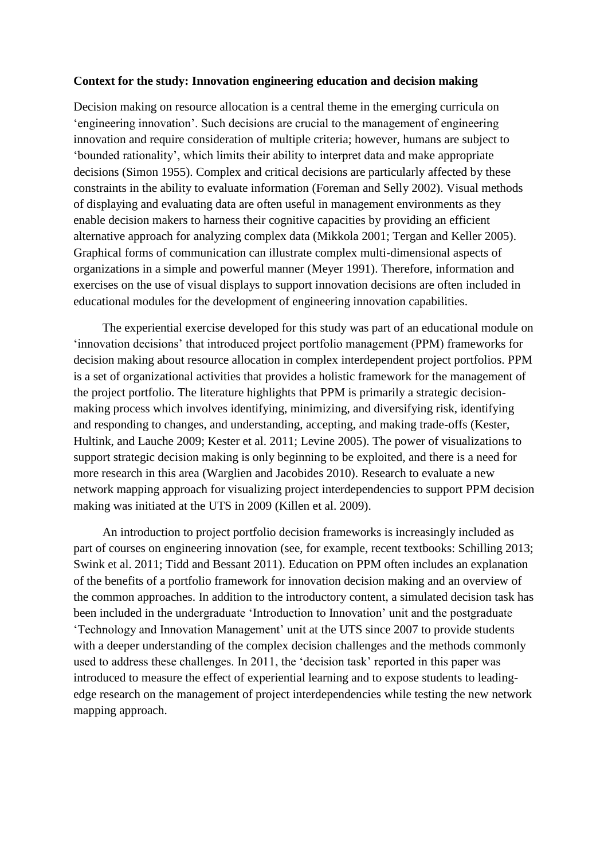### **Context for the study: Innovation engineering education and decision making**

Decision making on resource allocation is a central theme in the emerging curricula on "engineering innovation". Such decisions are crucial to the management of engineering innovation and require consideration of multiple criteria; however, humans are subject to "bounded rationality", which limits their ability to interpret data and make appropriate decisions (Simon 1955). Complex and critical decisions are particularly affected by these constraints in the ability to evaluate information (Foreman and Selly 2002). Visual methods of displaying and evaluating data are often useful in management environments as they enable decision makers to harness their cognitive capacities by providing an efficient alternative approach for analyzing complex data (Mikkola 2001; Tergan and Keller 2005). Graphical forms of communication can illustrate complex multi-dimensional aspects of organizations in a simple and powerful manner (Meyer 1991). Therefore, information and exercises on the use of visual displays to support innovation decisions are often included in educational modules for the development of engineering innovation capabilities.

The experiential exercise developed for this study was part of an educational module on "innovation decisions" that introduced project portfolio management (PPM) frameworks for decision making about resource allocation in complex interdependent project portfolios. PPM is a set of organizational activities that provides a holistic framework for the management of the project portfolio. The literature highlights that PPM is primarily a strategic decisionmaking process which involves identifying, minimizing, and diversifying risk, identifying and responding to changes, and understanding, accepting, and making trade-offs (Kester, Hultink, and Lauche 2009; Kester et al. 2011; Levine 2005). The power of visualizations to support strategic decision making is only beginning to be exploited, and there is a need for more research in this area (Warglien and Jacobides 2010). Research to evaluate a new network mapping approach for visualizing project interdependencies to support PPM decision making was initiated at the UTS in 2009 (Killen et al. 2009).

An introduction to project portfolio decision frameworks is increasingly included as part of courses on engineering innovation (see, for example, recent textbooks: Schilling 2013; Swink et al. 2011; Tidd and Bessant 2011). Education on PPM often includes an explanation of the benefits of a portfolio framework for innovation decision making and an overview of the common approaches. In addition to the introductory content, a simulated decision task has been included in the undergraduate "Introduction to Innovation" unit and the postgraduate "Technology and Innovation Management" unit at the UTS since 2007 to provide students with a deeper understanding of the complex decision challenges and the methods commonly used to address these challenges. In 2011, the 'decision task' reported in this paper was introduced to measure the effect of experiential learning and to expose students to leadingedge research on the management of project interdependencies while testing the new network mapping approach.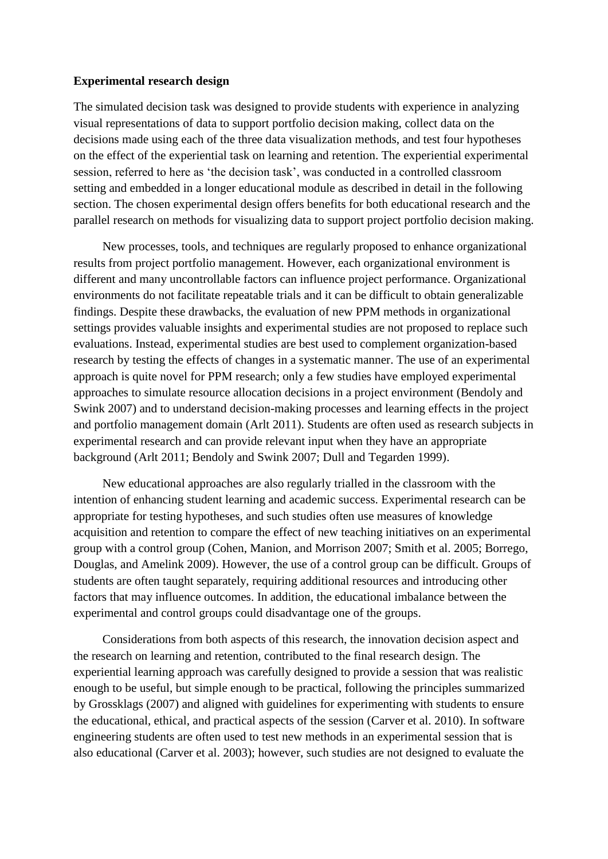### **Experimental research design**

The simulated decision task was designed to provide students with experience in analyzing visual representations of data to support portfolio decision making, collect data on the decisions made using each of the three data visualization methods, and test four hypotheses on the effect of the experiential task on learning and retention. The experiential experimental session, referred to here as "the decision task", was conducted in a controlled classroom setting and embedded in a longer educational module as described in detail in the following section. The chosen experimental design offers benefits for both educational research and the parallel research on methods for visualizing data to support project portfolio decision making.

New processes, tools, and techniques are regularly proposed to enhance organizational results from project portfolio management. However, each organizational environment is different and many uncontrollable factors can influence project performance. Organizational environments do not facilitate repeatable trials and it can be difficult to obtain generalizable findings. Despite these drawbacks, the evaluation of new PPM methods in organizational settings provides valuable insights and experimental studies are not proposed to replace such evaluations. Instead, experimental studies are best used to complement organization-based research by testing the effects of changes in a systematic manner. The use of an experimental approach is quite novel for PPM research; only a few studies have employed experimental approaches to simulate resource allocation decisions in a project environment (Bendoly and Swink 2007) and to understand decision-making processes and learning effects in the project and portfolio management domain (Arlt 2011). Students are often used as research subjects in experimental research and can provide relevant input when they have an appropriate background (Arlt 2011; Bendoly and Swink 2007; Dull and Tegarden 1999).

New educational approaches are also regularly trialled in the classroom with the intention of enhancing student learning and academic success. Experimental research can be appropriate for testing hypotheses, and such studies often use measures of knowledge acquisition and retention to compare the effect of new teaching initiatives on an experimental group with a control group (Cohen, Manion, and Morrison 2007; Smith et al. 2005; Borrego, Douglas, and Amelink 2009). However, the use of a control group can be difficult. Groups of students are often taught separately, requiring additional resources and introducing other factors that may influence outcomes. In addition, the educational imbalance between the experimental and control groups could disadvantage one of the groups.

Considerations from both aspects of this research, the innovation decision aspect and the research on learning and retention, contributed to the final research design. The experiential learning approach was carefully designed to provide a session that was realistic enough to be useful, but simple enough to be practical, following the principles summarized by Grossklags (2007) and aligned with guidelines for experimenting with students to ensure the educational, ethical, and practical aspects of the session (Carver et al. 2010). In software engineering students are often used to test new methods in an experimental session that is also educational (Carver et al. 2003); however, such studies are not designed to evaluate the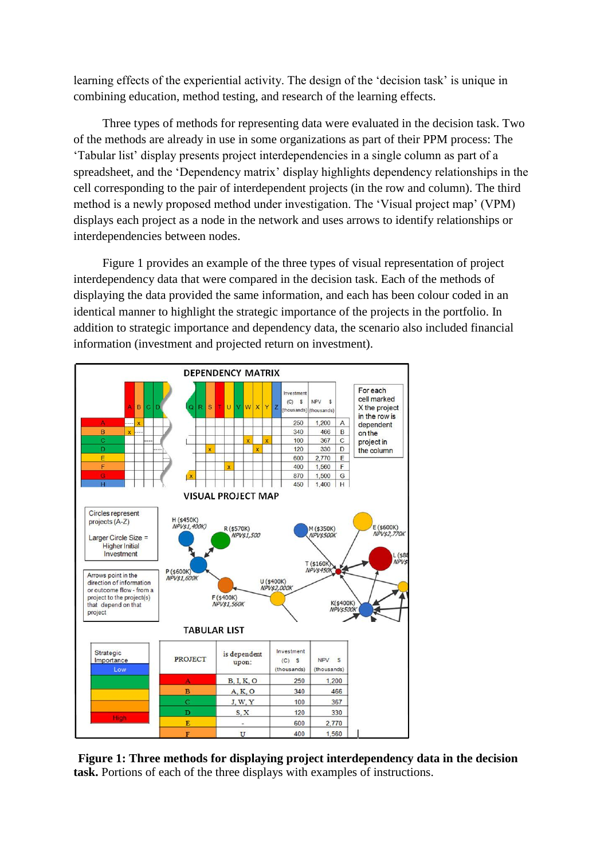learning effects of the experiential activity. The design of the "decision task" is unique in combining education, method testing, and research of the learning effects.

Three types of methods for representing data were evaluated in the decision task. Two of the methods are already in use in some organizations as part of their PPM process: The "Tabular list" display presents project interdependencies in a single column as part of a spreadsheet, and the 'Dependency matrix' display highlights dependency relationships in the cell corresponding to the pair of interdependent projects (in the row and column). The third method is a newly proposed method under investigation. The "Visual project map" (VPM) displays each project as a node in the network and uses arrows to identify relationships or interdependencies between nodes.

[Figure 1](#page-8-0) provides an example of the three types of visual representation of project interdependency data that were compared in the decision task. Each of the methods of displaying the data provided the same information, and each has been colour coded in an identical manner to highlight the strategic importance of the projects in the portfolio. In addition to strategic importance and dependency data, the scenario also included financial information (investment and projected return on investment).



<span id="page-8-0"></span>**Figure 1: Three methods for displaying project interdependency data in the decision task.** Portions of each of the three displays with examples of instructions.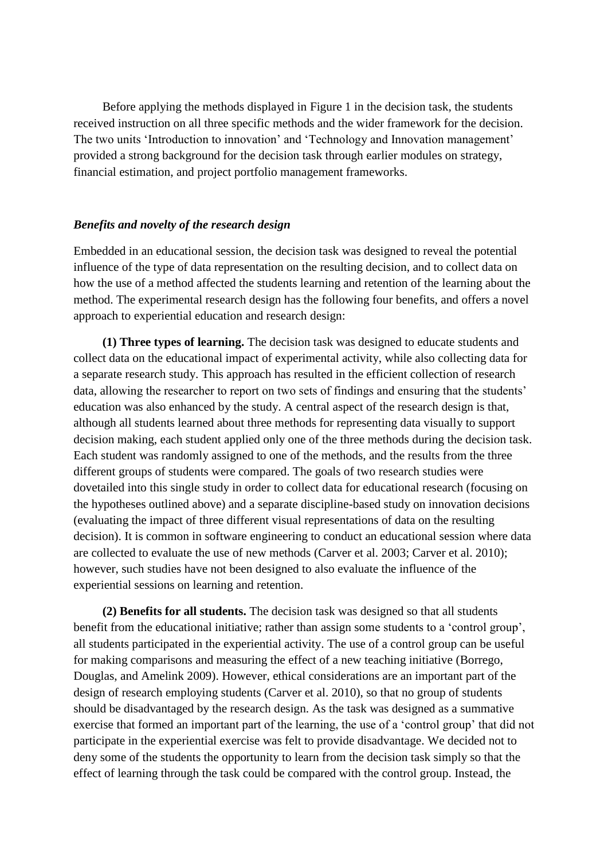Before applying the methods displayed in [Figure 1](#page-8-0) in the decision task, the students received instruction on all three specific methods and the wider framework for the decision. The two units 'Introduction to innovation' and 'Technology and Innovation management' provided a strong background for the decision task through earlier modules on strategy, financial estimation, and project portfolio management frameworks.

# *Benefits and novelty of the research design*

Embedded in an educational session, the decision task was designed to reveal the potential influence of the type of data representation on the resulting decision, and to collect data on how the use of a method affected the students learning and retention of the learning about the method. The experimental research design has the following four benefits, and offers a novel approach to experiential education and research design:

**(1) Three types of learning.** The decision task was designed to educate students and collect data on the educational impact of experimental activity, while also collecting data for a separate research study. This approach has resulted in the efficient collection of research data, allowing the researcher to report on two sets of findings and ensuring that the students' education was also enhanced by the study. A central aspect of the research design is that, although all students learned about three methods for representing data visually to support decision making, each student applied only one of the three methods during the decision task. Each student was randomly assigned to one of the methods, and the results from the three different groups of students were compared. The goals of two research studies were dovetailed into this single study in order to collect data for educational research (focusing on the hypotheses outlined above) and a separate discipline-based study on innovation decisions (evaluating the impact of three different visual representations of data on the resulting decision). It is common in software engineering to conduct an educational session where data are collected to evaluate the use of new methods (Carver et al. 2003; Carver et al. 2010); however, such studies have not been designed to also evaluate the influence of the experiential sessions on learning and retention.

**(2) Benefits for all students.** The decision task was designed so that all students benefit from the educational initiative; rather than assign some students to a "control group", all students participated in the experiential activity. The use of a control group can be useful for making comparisons and measuring the effect of a new teaching initiative (Borrego, Douglas, and Amelink 2009). However, ethical considerations are an important part of the design of research employing students (Carver et al. 2010), so that no group of students should be disadvantaged by the research design. As the task was designed as a summative exercise that formed an important part of the learning, the use of a "control group" that did not participate in the experiential exercise was felt to provide disadvantage. We decided not to deny some of the students the opportunity to learn from the decision task simply so that the effect of learning through the task could be compared with the control group. Instead, the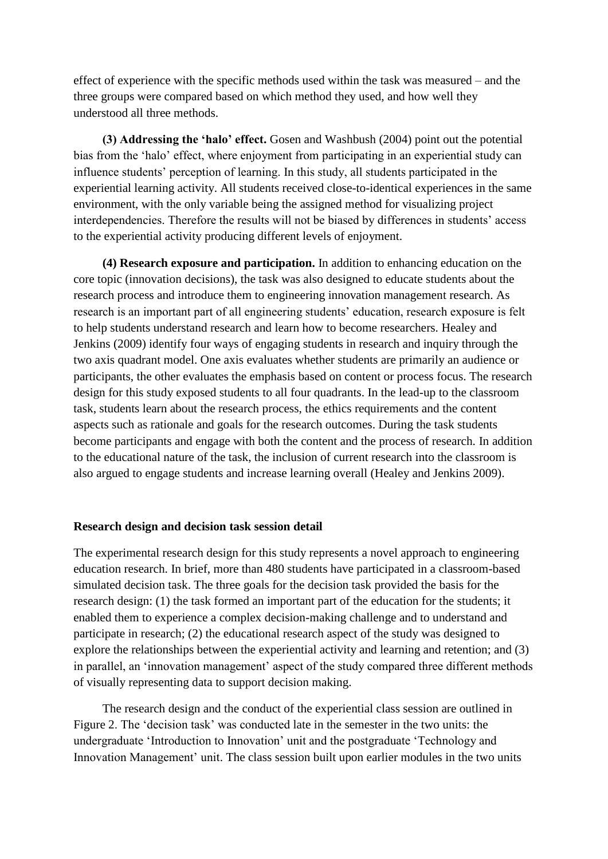effect of experience with the specific methods used within the task was measured – and the three groups were compared based on which method they used, and how well they understood all three methods.

**(3) Addressing the 'halo' effect.** Gosen and Washbush (2004) point out the potential bias from the "halo" effect, where enjoyment from participating in an experiential study can influence students" perception of learning. In this study, all students participated in the experiential learning activity. All students received close-to-identical experiences in the same environment, with the only variable being the assigned method for visualizing project interdependencies. Therefore the results will not be biased by differences in students' access to the experiential activity producing different levels of enjoyment.

**(4) Research exposure and participation.** In addition to enhancing education on the core topic (innovation decisions), the task was also designed to educate students about the research process and introduce them to engineering innovation management research. As research is an important part of all engineering students' education, research exposure is felt to help students understand research and learn how to become researchers. Healey and Jenkins (2009) identify four ways of engaging students in research and inquiry through the two axis quadrant model. One axis evaluates whether students are primarily an audience or participants, the other evaluates the emphasis based on content or process focus. The research design for this study exposed students to all four quadrants. In the lead-up to the classroom task, students learn about the research process, the ethics requirements and the content aspects such as rationale and goals for the research outcomes. During the task students become participants and engage with both the content and the process of research. In addition to the educational nature of the task, the inclusion of current research into the classroom is also argued to engage students and increase learning overall (Healey and Jenkins 2009).

#### **Research design and decision task session detail**

The experimental research design for this study represents a novel approach to engineering education research. In brief, more than 480 students have participated in a classroom-based simulated decision task. The three goals for the decision task provided the basis for the research design: (1) the task formed an important part of the education for the students; it enabled them to experience a complex decision-making challenge and to understand and participate in research; (2) the educational research aspect of the study was designed to explore the relationships between the experiential activity and learning and retention; and (3) in parallel, an 'innovation management' aspect of the study compared three different methods of visually representing data to support decision making.

The research design and the conduct of the experiential class session are outlined in [Figure 2.](#page-13-0) The "decision task" was conducted late in the semester in the two units: the undergraduate "Introduction to Innovation" unit and the postgraduate "Technology and Innovation Management' unit. The class session built upon earlier modules in the two units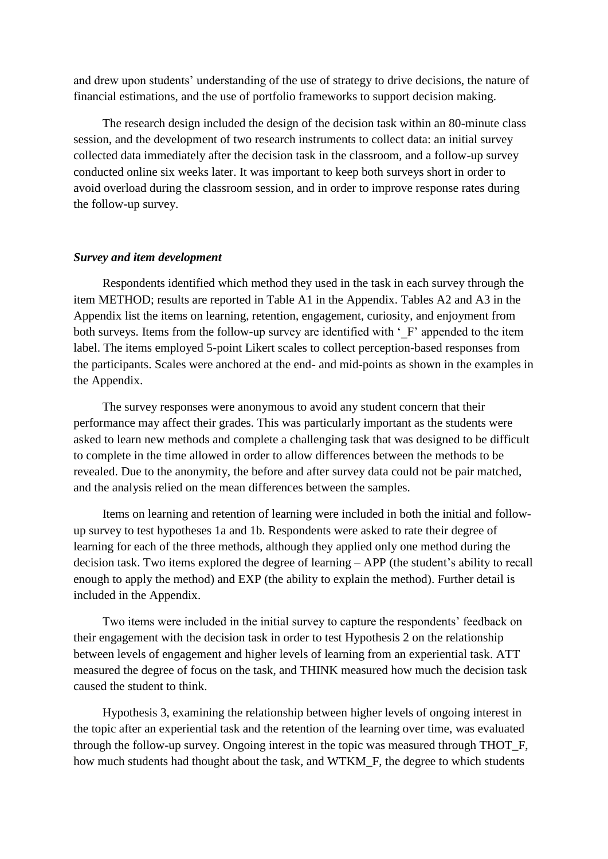and drew upon students' understanding of the use of strategy to drive decisions, the nature of financial estimations, and the use of portfolio frameworks to support decision making.

The research design included the design of the decision task within an 80-minute class session, and the development of two research instruments to collect data: an initial survey collected data immediately after the decision task in the classroom, and a follow-up survey conducted online six weeks later. It was important to keep both surveys short in order to avoid overload during the classroom session, and in order to improve response rates during the follow-up survey.

#### *Survey and item development*

Respondents identified which method they used in the task in each survey through the item METHOD; results are reported in Table A1 in the Appendix. Tables A2 and A3 in the Appendix list the items on learning, retention, engagement, curiosity, and enjoyment from both surveys. Items from the follow-up survey are identified with 'F' appended to the item label. The items employed 5-point Likert scales to collect perception-based responses from the participants. Scales were anchored at the end- and mid-points as shown in the examples in the Appendix.

The survey responses were anonymous to avoid any student concern that their performance may affect their grades. This was particularly important as the students were asked to learn new methods and complete a challenging task that was designed to be difficult to complete in the time allowed in order to allow differences between the methods to be revealed. Due to the anonymity, the before and after survey data could not be pair matched, and the analysis relied on the mean differences between the samples.

Items on learning and retention of learning were included in both the initial and followup survey to test hypotheses 1a and 1b. Respondents were asked to rate their degree of learning for each of the three methods, although they applied only one method during the decision task. Two items explored the degree of learning – APP (the student"s ability to recall enough to apply the method) and EXP (the ability to explain the method). Further detail is included in the Appendix.

Two items were included in the initial survey to capture the respondents" feedback on their engagement with the decision task in order to test Hypothesis 2 on the relationship between levels of engagement and higher levels of learning from an experiential task. ATT measured the degree of focus on the task, and THINK measured how much the decision task caused the student to think.

Hypothesis 3, examining the relationship between higher levels of ongoing interest in the topic after an experiential task and the retention of the learning over time, was evaluated through the follow-up survey. Ongoing interest in the topic was measured through THOT\_F, how much students had thought about the task, and WTKM\_F, the degree to which students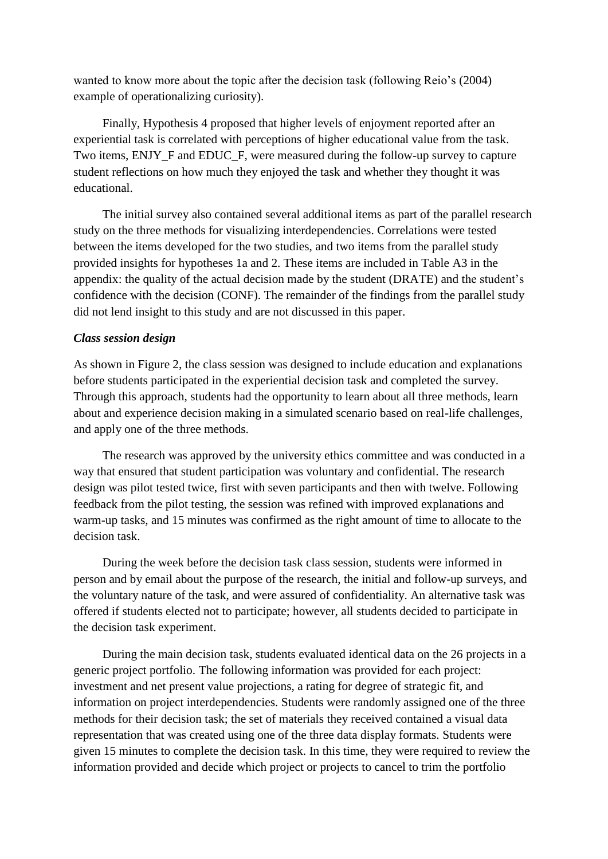wanted to know more about the topic after the decision task (following Reio"s (2004) example of operationalizing curiosity).

Finally, Hypothesis 4 proposed that higher levels of enjoyment reported after an experiential task is correlated with perceptions of higher educational value from the task. Two items, ENJY\_F and EDUC\_F, were measured during the follow-up survey to capture student reflections on how much they enjoyed the task and whether they thought it was educational.

The initial survey also contained several additional items as part of the parallel research study on the three methods for visualizing interdependencies. Correlations were tested between the items developed for the two studies, and two items from the parallel study provided insights for hypotheses 1a and 2. These items are included in Table A3 in the appendix: the quality of the actual decision made by the student (DRATE) and the student"s confidence with the decision (CONF). The remainder of the findings from the parallel study did not lend insight to this study and are not discussed in this paper.

# *Class session design*

As shown in [Figure 2,](#page-13-0) the class session was designed to include education and explanations before students participated in the experiential decision task and completed the survey. Through this approach, students had the opportunity to learn about all three methods, learn about and experience decision making in a simulated scenario based on real-life challenges, and apply one of the three methods.

The research was approved by the university ethics committee and was conducted in a way that ensured that student participation was voluntary and confidential. The research design was pilot tested twice, first with seven participants and then with twelve. Following feedback from the pilot testing, the session was refined with improved explanations and warm-up tasks, and 15 minutes was confirmed as the right amount of time to allocate to the decision task.

During the week before the decision task class session, students were informed in person and by email about the purpose of the research, the initial and follow-up surveys, and the voluntary nature of the task, and were assured of confidentiality. An alternative task was offered if students elected not to participate; however, all students decided to participate in the decision task experiment.

During the main decision task, students evaluated identical data on the 26 projects in a generic project portfolio. The following information was provided for each project: investment and net present value projections, a rating for degree of strategic fit, and information on project interdependencies. Students were randomly assigned one of the three methods for their decision task; the set of materials they received contained a visual data representation that was created using one of the three data display formats. Students were given 15 minutes to complete the decision task. In this time, they were required to review the information provided and decide which project or projects to cancel to trim the portfolio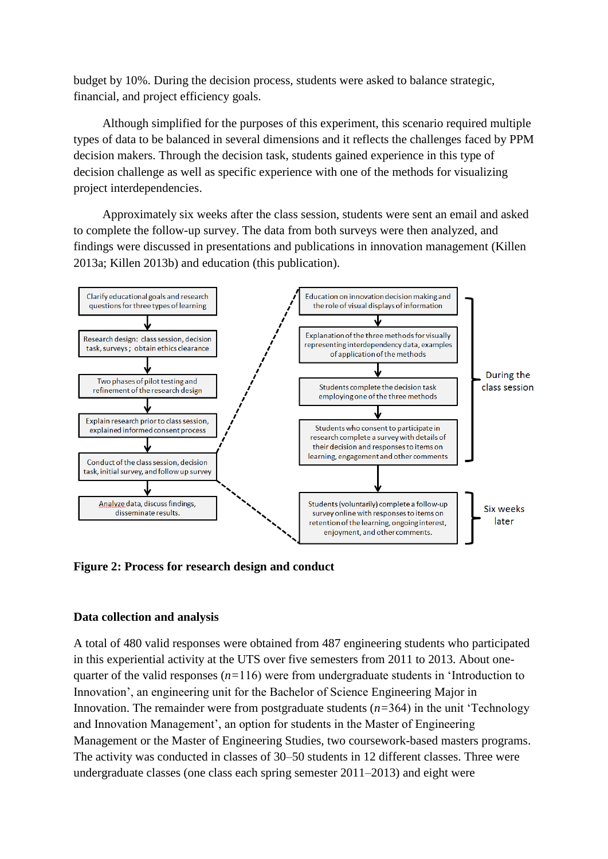budget by 10%. During the decision process, students were asked to balance strategic, financial, and project efficiency goals.

Although simplified for the purposes of this experiment, this scenario required multiple types of data to be balanced in several dimensions and it reflects the challenges faced by PPM decision makers. Through the decision task, students gained experience in this type of decision challenge as well as specific experience with one of the methods for visualizing project interdependencies.

Approximately six weeks after the class session, students were sent an email and asked to complete the follow-up survey. The data from both surveys were then analyzed, and findings were discussed in presentations and publications in innovation management (Killen 2013a; Killen 2013b) and education (this publication).



<span id="page-13-0"></span>**Figure 2: Process for research design and conduct** 

# **Data collection and analysis**

A total of 480 valid responses were obtained from 487 engineering students who participated in this experiential activity at the UTS over five semesters from 2011 to 2013. About onequarter of the valid responses (*n=*116) were from undergraduate students in "Introduction to Innovation", an engineering unit for the Bachelor of Science Engineering Major in Innovation. The remainder were from postgraduate students (*n=*364) in the unit "Technology and Innovation Management', an option for students in the Master of Engineering Management or the Master of Engineering Studies, two coursework-based masters programs. The activity was conducted in classes of 30–50 students in 12 different classes. Three were undergraduate classes (one class each spring semester 2011–2013) and eight were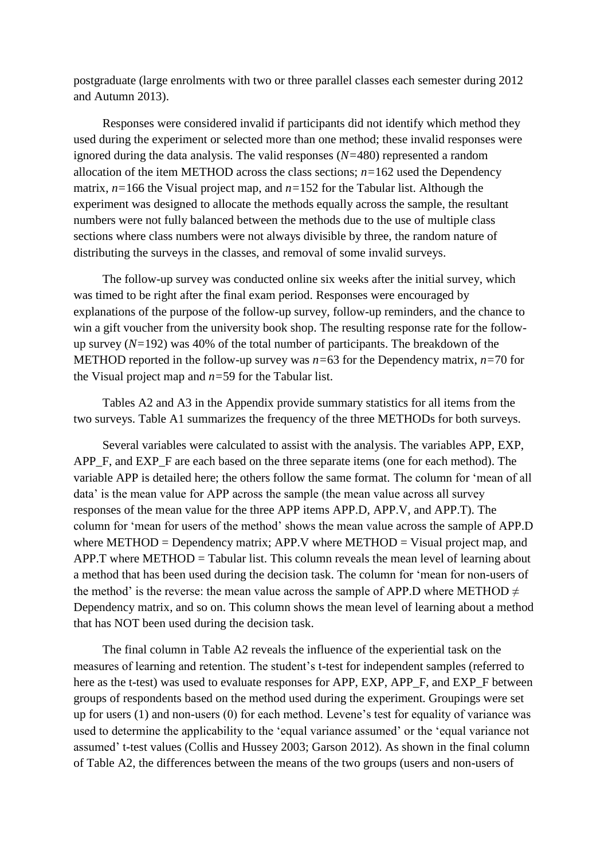postgraduate (large enrolments with two or three parallel classes each semester during 2012 and Autumn 2013).

Responses were considered invalid if participants did not identify which method they used during the experiment or selected more than one method; these invalid responses were ignored during the data analysis. The valid responses (*N=*480) represented a random allocation of the item METHOD across the class sections; *n=*162 used the Dependency matrix,  $n=166$  the Visual project map, and  $n=152$  for the Tabular list. Although the experiment was designed to allocate the methods equally across the sample, the resultant numbers were not fully balanced between the methods due to the use of multiple class sections where class numbers were not always divisible by three, the random nature of distributing the surveys in the classes, and removal of some invalid surveys.

The follow-up survey was conducted online six weeks after the initial survey, which was timed to be right after the final exam period. Responses were encouraged by explanations of the purpose of the follow-up survey, follow-up reminders, and the chance to win a gift voucher from the university book shop. The resulting response rate for the followup survey (*N=*192) was 40% of the total number of participants. The breakdown of the METHOD reported in the follow-up survey was *n=*63 for the Dependency matrix, *n=*70 for the Visual project map and *n=*59 for the Tabular list.

Tables A2 and A3 in the Appendix provide summary statistics for all items from the two surveys. Table A1 summarizes the frequency of the three METHODs for both surveys.

Several variables were calculated to assist with the analysis. The variables APP, EXP, APP F, and EXP F are each based on the three separate items (one for each method). The variable APP is detailed here; the others follow the same format. The column for "mean of all data' is the mean value for APP across the sample (the mean value across all survey responses of the mean value for the three APP items APP.D, APP.V, and APP.T). The column for "mean for users of the method" shows the mean value across the sample of APP.D where METHOD = Dependency matrix; APP.V where METHOD = Visual project map, and APP.T where  $METHOD = Tabular$  list. This column reveals the mean level of learning about a method that has been used during the decision task. The column for "mean for non-users of the method' is the reverse: the mean value across the sample of APP.D where METHOD  $\neq$ Dependency matrix, and so on. This column shows the mean level of learning about a method that has NOT been used during the decision task.

The final column in Table A2 reveals the influence of the experiential task on the measures of learning and retention. The student's t-test for independent samples (referred to here as the t-test) was used to evaluate responses for APP, EXP, APP\_F, and EXP\_F between groups of respondents based on the method used during the experiment. Groupings were set up for users (1) and non-users (0) for each method. Levene"s test for equality of variance was used to determine the applicability to the "equal variance assumed" or the "equal variance not assumed" t-test values (Collis and Hussey 2003; Garson 2012). As shown in the final column of Table A2, the differences between the means of the two groups (users and non-users of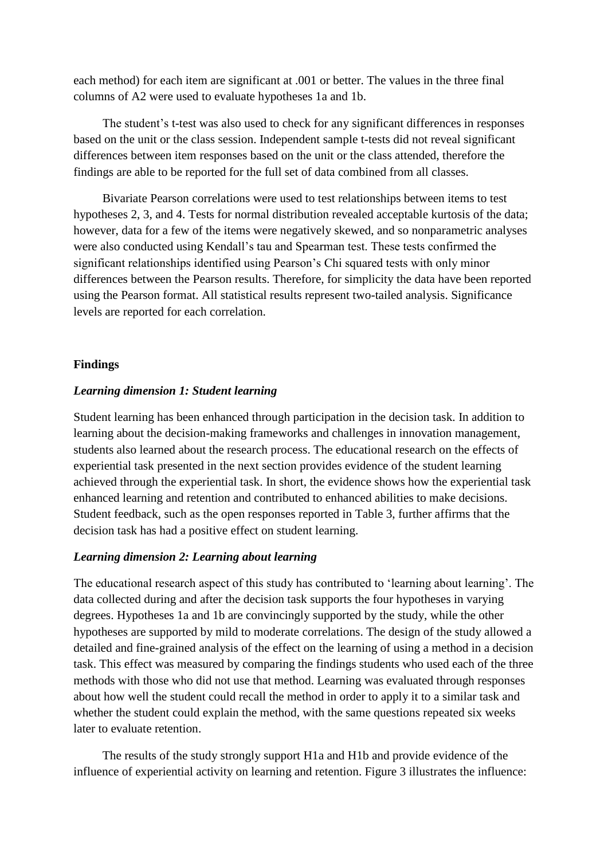each method) for each item are significant at .001 or better. The values in the three final columns of A2 were used to evaluate hypotheses 1a and 1b.

The student's t-test was also used to check for any significant differences in responses based on the unit or the class session. Independent sample t-tests did not reveal significant differences between item responses based on the unit or the class attended, therefore the findings are able to be reported for the full set of data combined from all classes.

Bivariate Pearson correlations were used to test relationships between items to test hypotheses 2, 3, and 4. Tests for normal distribution revealed acceptable kurtosis of the data; however, data for a few of the items were negatively skewed, and so nonparametric analyses were also conducted using Kendall"s tau and Spearman test. These tests confirmed the significant relationships identified using Pearson"s Chi squared tests with only minor differences between the Pearson results. Therefore, for simplicity the data have been reported using the Pearson format. All statistical results represent two-tailed analysis. Significance levels are reported for each correlation.

# **Findings**

# *Learning dimension 1: Student learning*

Student learning has been enhanced through participation in the decision task. In addition to learning about the decision-making frameworks and challenges in innovation management, students also learned about the research process. The educational research on the effects of experiential task presented in the next section provides evidence of the student learning achieved through the experiential task. In short, the evidence shows how the experiential task enhanced learning and retention and contributed to enhanced abilities to make decisions. Student feedback, such as the open responses reported in [Table 3,](#page-19-0) further affirms that the decision task has had a positive effect on student learning.

# *Learning dimension 2: Learning about learning*

The educational research aspect of this study has contributed to "learning about learning". The data collected during and after the decision task supports the four hypotheses in varying degrees. Hypotheses 1a and 1b are convincingly supported by the study, while the other hypotheses are supported by mild to moderate correlations. The design of the study allowed a detailed and fine-grained analysis of the effect on the learning of using a method in a decision task. This effect was measured by comparing the findings students who used each of the three methods with those who did not use that method. Learning was evaluated through responses about how well the student could recall the method in order to apply it to a similar task and whether the student could explain the method, with the same questions repeated six weeks later to evaluate retention.

The results of the study strongly support H1a and H1b and provide evidence of the influence of experiential activity on learning and retention. Figure 3 illustrates the influence: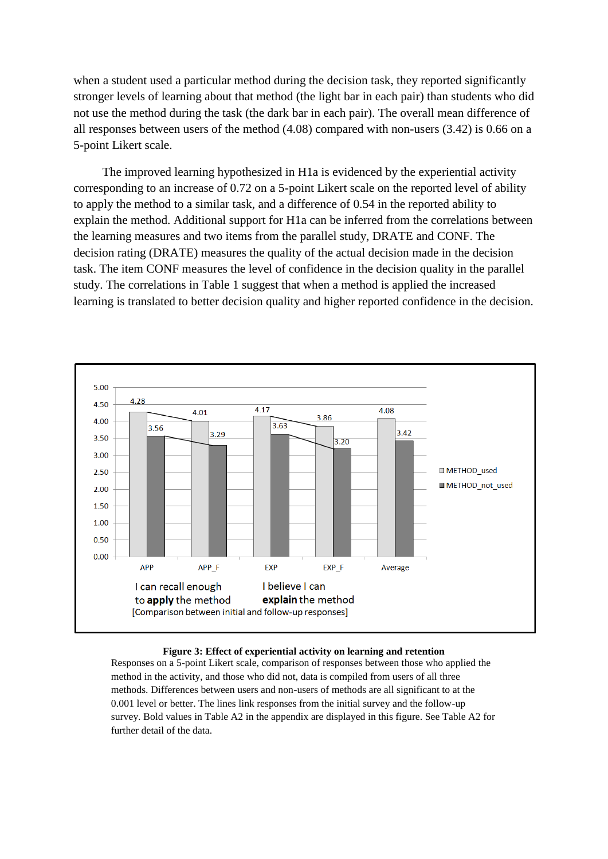when a student used a particular method during the decision task, they reported significantly stronger levels of learning about that method (the light bar in each pair) than students who did not use the method during the task (the dark bar in each pair). The overall mean difference of all responses between users of the method (4.08) compared with non-users (3.42) is 0.66 on a 5-point Likert scale.

The improved learning hypothesized in H1a is evidenced by the experiential activity corresponding to an increase of 0.72 on a 5-point Likert scale on the reported level of ability to apply the method to a similar task, and a difference of 0.54 in the reported ability to explain the method. Additional support for H1a can be inferred from the correlations between the learning measures and two items from the parallel study, DRATE and CONF. The decision rating (DRATE) measures the quality of the actual decision made in the decision task. The item CONF measures the level of confidence in the decision quality in the parallel study. The correlations in Table 1 suggest that when a method is applied the increased learning is translated to better decision quality and higher reported confidence in the decision.



#### **Figure 3: Effect of experiential activity on learning and retention**

<span id="page-16-0"></span>Responses on a 5-point Likert scale, comparison of responses between those who applied the method in the activity, and those who did not, data is compiled from users of all three methods. Differences between users and non-users of methods are all significant to at the 0.001 level or better. The lines link responses from the initial survey and the follow-up survey. Bold values in Table A2 in the appendix are displayed in this figure. See Table A2 for further detail of the data.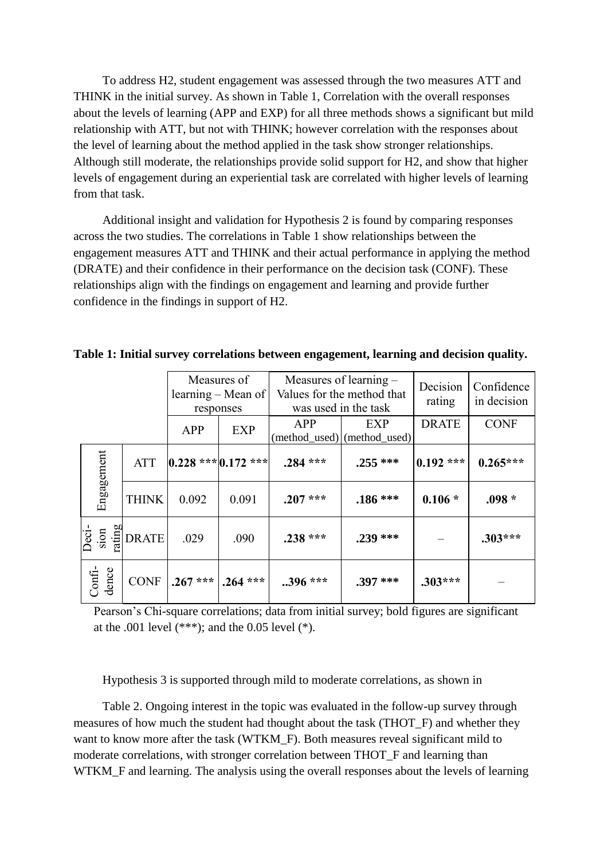To address H2, student engagement was assessed through the two measures ATT and THINK in the initial survey. As shown in [Table 1,](#page-17-0) Correlation with the overall responses about the levels of learning (APP and EXP) for all three methods shows a significant but mild relationship with ATT, but not with THINK; however correlation with the responses about the level of learning about the method applied in the task show stronger relationships. Although still moderate, the relationships provide solid support for H2, and show that higher levels of engagement during an experiential task are correlated with higher levels of learning from that task.

Additional insight and validation for Hypothesis 2 is found by comparing responses across the two studies. The correlations in [Table 1](#page-17-0) show relationships between the engagement measures ATT and THINK and their actual performance in applying the method (DRATE) and their confidence in their performance on the decision task (CONF). These relationships align with the findings on engagement and learning and provide further confidence in the findings in support of H2.

|                 |                                                              | Measures of<br>learning – Mean of<br>responses |            | Measures of learning $-$<br>Values for the method that<br>was used in the task |                                             | Decision<br>rating | Confidence<br>in decision |
|-----------------|--------------------------------------------------------------|------------------------------------------------|------------|--------------------------------------------------------------------------------|---------------------------------------------|--------------------|---------------------------|
|                 |                                                              | <b>APP</b>                                     | <b>EXP</b> | <b>APP</b>                                                                     | <b>EXP</b><br>(method_used)   (method_used) | <b>DRATE</b>       | <b>CONF</b>               |
| Engagement      | <b>ATT</b>                                                   | $ 0.228*** 0.172*** $                          |            | $.284$ ***                                                                     | $.255***$                                   | $0.192$ ***        | $0.265***$                |
|                 | <b>THINK</b>                                                 | 0.092                                          | 0.091      | $.207***$                                                                      | $.186***$                                   | $0.106 *$          | $.098 *$                  |
| Deci-           | $\frac{1}{3}$ $\frac{1}{3}$ $\frac{1}{3}$ DRATE <sub>1</sub> | .029                                           | .090       | $.238***$                                                                      | $.239$ ***                                  |                    | $.303***$                 |
| Confi-<br>dence | <b>CONF</b>                                                  | $.267$ ***                                     | $.264$ *** | $.396***$                                                                      | $.397***$                                   | $.303***$          |                           |

<span id="page-17-0"></span>**Table 1: Initial survey correlations between engagement, learning and decision quality.**

Pearson's Chi-square correlations; data from initial survey; bold figures are significant at the .001 level  $(***)$ ; and the 0.05 level  $(*)$ .

Hypothesis 3 is supported through mild to moderate correlations, as shown in

[Table 2.](#page-18-0) Ongoing interest in the topic was evaluated in the follow-up survey through measures of how much the student had thought about the task (THOT\_F) and whether they want to know more after the task (WTKM\_F). Both measures reveal significant mild to moderate correlations, with stronger correlation between THOT\_F and learning than WTKM\_F and learning. The analysis using the overall responses about the levels of learning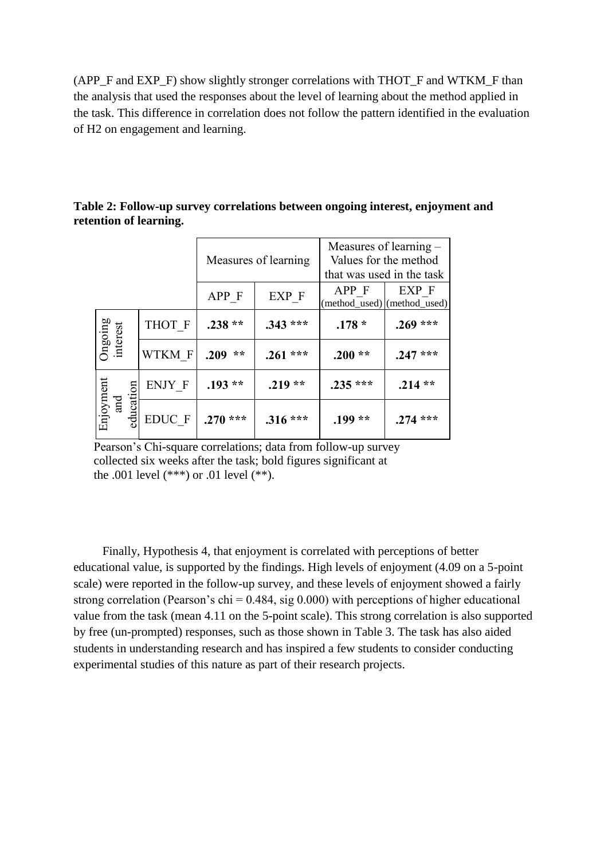(APP\_F and EXP\_F) show slightly stronger correlations with THOT\_F and WTKM\_F than the analysis that used the responses about the level of learning about the method applied in the task. This difference in correlation does not follow the pattern identified in the evaluation of H2 on engagement and learning.

|                               |        |            | Measures of learning $-$<br>Values for the method<br>Measures of learning<br>that was used in the task |           |                                      |
|-------------------------------|--------|------------|--------------------------------------------------------------------------------------------------------|-----------|--------------------------------------|
|                               |        | APP F      | EXP F                                                                                                  | APP F     | EXP F<br>(method_used) (method_used) |
| Ongoing<br>interest           | THOT F | $.238**$   | $.343***$                                                                                              | $.178 *$  | $.269$ ***                           |
|                               | WTKM F | **<br>.209 | $.261***$                                                                                              | $.200**$  | $.247***$                            |
| Enjoyment<br>education<br>and | ENJY F | $.193**$   | $.219**$                                                                                               | $.235***$ | $.214**$                             |
|                               | EDUC F | $.270***$  | .316 ***                                                                                               | $.199**$  | ***<br>.274                          |

<span id="page-18-0"></span>**Table 2: Follow-up survey correlations between ongoing interest, enjoyment and retention of learning.** 

Pearson"s Chi-square correlations; data from follow-up survey collected six weeks after the task; bold figures significant at the .001 level (\*\*\*) or .01 level (\*\*).

Finally, Hypothesis 4, that enjoyment is correlated with perceptions of better educational value, is supported by the findings. High levels of enjoyment (4.09 on a 5-point scale) were reported in the follow-up survey, and these levels of enjoyment showed a fairly strong correlation (Pearson's chi =  $0.484$ , sig  $0.000$ ) with perceptions of higher educational value from the task (mean 4.11 on the 5-point scale). This strong correlation is also supported by free (un-prompted) responses, such as those shown in [Table 3.](#page-19-0) The task has also aided students in understanding research and has inspired a few students to consider conducting experimental studies of this nature as part of their research projects.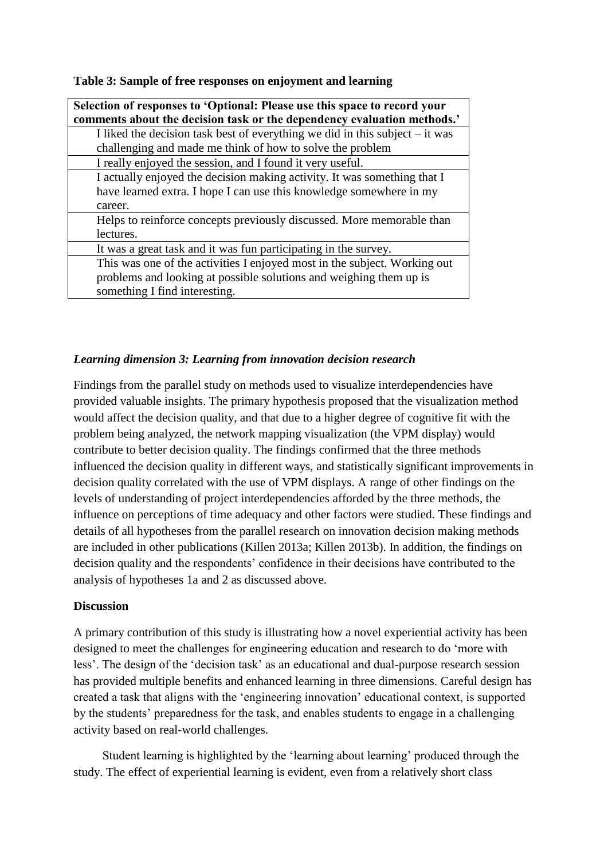<span id="page-19-0"></span>**Table 3: Sample of free responses on enjoyment and learning**

| Selection of responses to 'Optional: Please use this space to record your<br>comments about the decision task or the dependency evaluation methods.' |
|------------------------------------------------------------------------------------------------------------------------------------------------------|
| I liked the decision task best of everything we did in this subject $-$ it was                                                                       |
| challenging and made me think of how to solve the problem                                                                                            |
| I really enjoyed the session, and I found it very useful.                                                                                            |
| I actually enjoyed the decision making activity. It was something that I                                                                             |
| have learned extra. I hope I can use this knowledge somewhere in my                                                                                  |
| career.                                                                                                                                              |
| Helps to reinforce concepts previously discussed. More memorable than                                                                                |
| lectures.                                                                                                                                            |
| It was a great task and it was fun participating in the survey.                                                                                      |
| This was one of the activities I enjoyed most in the subject. Working out                                                                            |
| problems and looking at possible solutions and weighing them up is                                                                                   |
| something I find interesting.                                                                                                                        |

# *Learning dimension 3: Learning from innovation decision research*

Findings from the parallel study on methods used to visualize interdependencies have provided valuable insights. The primary hypothesis proposed that the visualization method would affect the decision quality, and that due to a higher degree of cognitive fit with the problem being analyzed, the network mapping visualization (the VPM display) would contribute to better decision quality. The findings confirmed that the three methods influenced the decision quality in different ways, and statistically significant improvements in decision quality correlated with the use of VPM displays. A range of other findings on the levels of understanding of project interdependencies afforded by the three methods, the influence on perceptions of time adequacy and other factors were studied. These findings and details of all hypotheses from the parallel research on innovation decision making methods are included in other publications (Killen 2013a; Killen 2013b). In addition, the findings on decision quality and the respondents' confidence in their decisions have contributed to the analysis of hypotheses 1a and 2 as discussed above.

# **Discussion**

A primary contribution of this study is illustrating how a novel experiential activity has been designed to meet the challenges for engineering education and research to do "more with less". The design of the "decision task" as an educational and dual-purpose research session has provided multiple benefits and enhanced learning in three dimensions. Careful design has created a task that aligns with the "engineering innovation" educational context, is supported by the students" preparedness for the task, and enables students to engage in a challenging activity based on real-world challenges.

Student learning is highlighted by the "learning about learning" produced through the study. The effect of experiential learning is evident, even from a relatively short class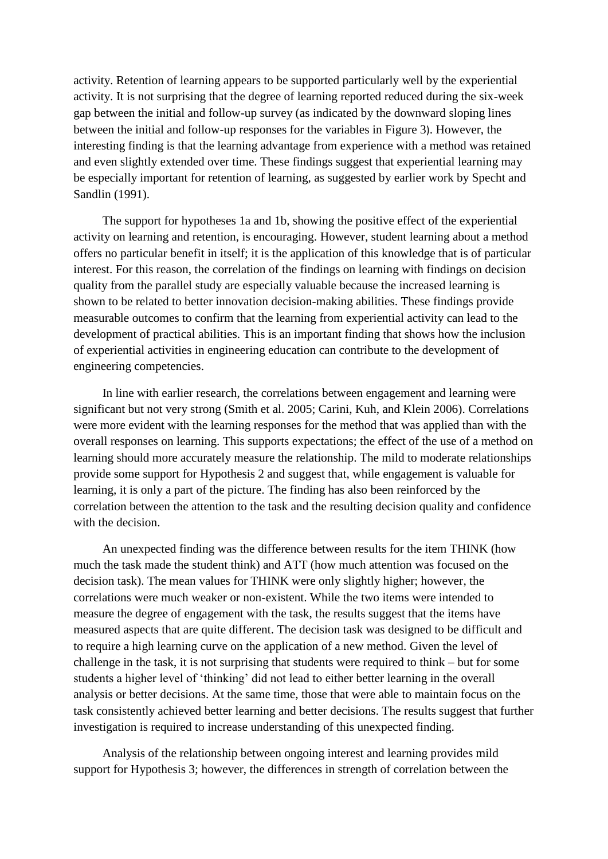activity. Retention of learning appears to be supported particularly well by the experiential activity. It is not surprising that the degree of learning reported reduced during the six-week gap between the initial and follow-up survey (as indicated by the downward sloping lines between the initial and follow-up responses for the variables in [Figure 3](#page-16-0)). However, the interesting finding is that the learning advantage from experience with a method was retained and even slightly extended over time. These findings suggest that experiential learning may be especially important for retention of learning, as suggested by earlier work by Specht and Sandlin (1991).

The support for hypotheses 1a and 1b, showing the positive effect of the experiential activity on learning and retention, is encouraging. However, student learning about a method offers no particular benefit in itself; it is the application of this knowledge that is of particular interest. For this reason, the correlation of the findings on learning with findings on decision quality from the parallel study are especially valuable because the increased learning is shown to be related to better innovation decision-making abilities. These findings provide measurable outcomes to confirm that the learning from experiential activity can lead to the development of practical abilities. This is an important finding that shows how the inclusion of experiential activities in engineering education can contribute to the development of engineering competencies.

In line with earlier research, the correlations between engagement and learning were significant but not very strong (Smith et al. 2005; Carini, Kuh, and Klein 2006). Correlations were more evident with the learning responses for the method that was applied than with the overall responses on learning. This supports expectations; the effect of the use of a method on learning should more accurately measure the relationship. The mild to moderate relationships provide some support for Hypothesis 2 and suggest that, while engagement is valuable for learning, it is only a part of the picture. The finding has also been reinforced by the correlation between the attention to the task and the resulting decision quality and confidence with the decision.

An unexpected finding was the difference between results for the item THINK (how much the task made the student think) and ATT (how much attention was focused on the decision task). The mean values for THINK were only slightly higher; however, the correlations were much weaker or non-existent. While the two items were intended to measure the degree of engagement with the task, the results suggest that the items have measured aspects that are quite different. The decision task was designed to be difficult and to require a high learning curve on the application of a new method. Given the level of challenge in the task, it is not surprising that students were required to think – but for some students a higher level of "thinking" did not lead to either better learning in the overall analysis or better decisions. At the same time, those that were able to maintain focus on the task consistently achieved better learning and better decisions. The results suggest that further investigation is required to increase understanding of this unexpected finding.

Analysis of the relationship between ongoing interest and learning provides mild support for Hypothesis 3; however, the differences in strength of correlation between the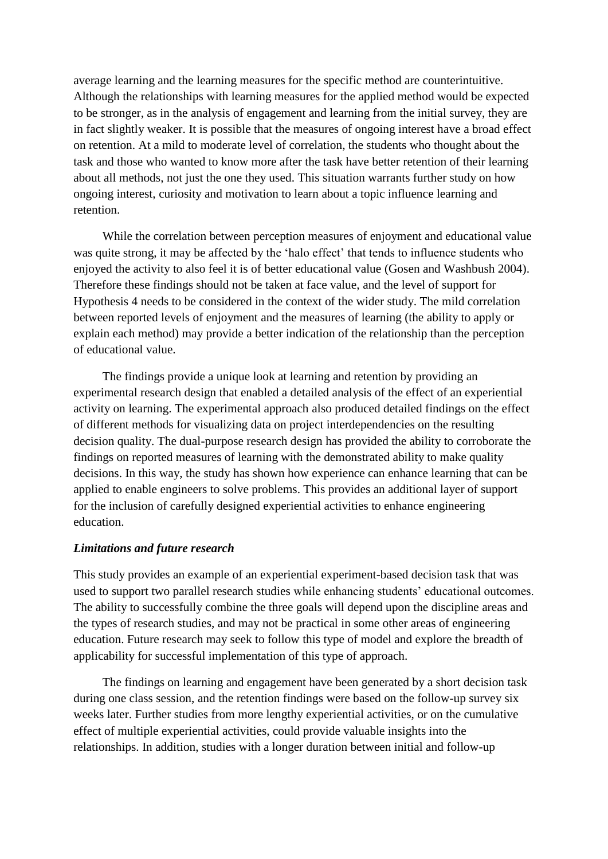average learning and the learning measures for the specific method are counterintuitive. Although the relationships with learning measures for the applied method would be expected to be stronger, as in the analysis of engagement and learning from the initial survey, they are in fact slightly weaker. It is possible that the measures of ongoing interest have a broad effect on retention. At a mild to moderate level of correlation, the students who thought about the task and those who wanted to know more after the task have better retention of their learning about all methods, not just the one they used. This situation warrants further study on how ongoing interest, curiosity and motivation to learn about a topic influence learning and retention.

While the correlation between perception measures of enjoyment and educational value was quite strong, it may be affected by the 'halo effect' that tends to influence students who enjoyed the activity to also feel it is of better educational value (Gosen and Washbush 2004). Therefore these findings should not be taken at face value, and the level of support for Hypothesis 4 needs to be considered in the context of the wider study. The mild correlation between reported levels of enjoyment and the measures of learning (the ability to apply or explain each method) may provide a better indication of the relationship than the perception of educational value.

The findings provide a unique look at learning and retention by providing an experimental research design that enabled a detailed analysis of the effect of an experiential activity on learning. The experimental approach also produced detailed findings on the effect of different methods for visualizing data on project interdependencies on the resulting decision quality. The dual-purpose research design has provided the ability to corroborate the findings on reported measures of learning with the demonstrated ability to make quality decisions. In this way, the study has shown how experience can enhance learning that can be applied to enable engineers to solve problems. This provides an additional layer of support for the inclusion of carefully designed experiential activities to enhance engineering education.

# *Limitations and future research*

This study provides an example of an experiential experiment-based decision task that was used to support two parallel research studies while enhancing students" educational outcomes. The ability to successfully combine the three goals will depend upon the discipline areas and the types of research studies, and may not be practical in some other areas of engineering education. Future research may seek to follow this type of model and explore the breadth of applicability for successful implementation of this type of approach.

The findings on learning and engagement have been generated by a short decision task during one class session, and the retention findings were based on the follow-up survey six weeks later. Further studies from more lengthy experiential activities, or on the cumulative effect of multiple experiential activities, could provide valuable insights into the relationships. In addition, studies with a longer duration between initial and follow-up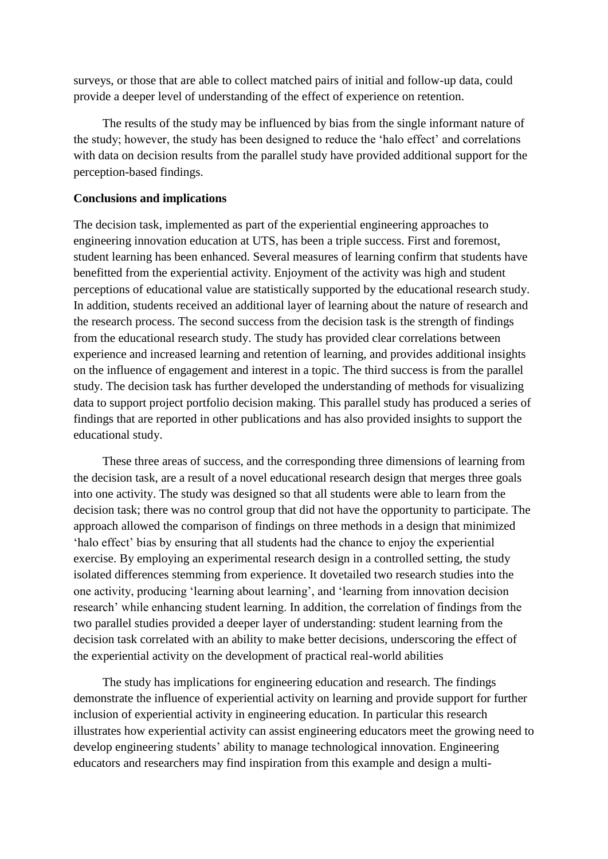surveys, or those that are able to collect matched pairs of initial and follow-up data, could provide a deeper level of understanding of the effect of experience on retention.

The results of the study may be influenced by bias from the single informant nature of the study; however, the study has been designed to reduce the "halo effect" and correlations with data on decision results from the parallel study have provided additional support for the perception-based findings.

### **Conclusions and implications**

The decision task, implemented as part of the experiential engineering approaches to engineering innovation education at UTS, has been a triple success. First and foremost, student learning has been enhanced. Several measures of learning confirm that students have benefitted from the experiential activity. Enjoyment of the activity was high and student perceptions of educational value are statistically supported by the educational research study. In addition, students received an additional layer of learning about the nature of research and the research process. The second success from the decision task is the strength of findings from the educational research study. The study has provided clear correlations between experience and increased learning and retention of learning, and provides additional insights on the influence of engagement and interest in a topic. The third success is from the parallel study. The decision task has further developed the understanding of methods for visualizing data to support project portfolio decision making. This parallel study has produced a series of findings that are reported in other publications and has also provided insights to support the educational study.

These three areas of success, and the corresponding three dimensions of learning from the decision task, are a result of a novel educational research design that merges three goals into one activity. The study was designed so that all students were able to learn from the decision task; there was no control group that did not have the opportunity to participate. The approach allowed the comparison of findings on three methods in a design that minimized "halo effect" bias by ensuring that all students had the chance to enjoy the experiential exercise. By employing an experimental research design in a controlled setting, the study isolated differences stemming from experience. It dovetailed two research studies into the one activity, producing "learning about learning", and "learning from innovation decision research' while enhancing student learning. In addition, the correlation of findings from the two parallel studies provided a deeper layer of understanding: student learning from the decision task correlated with an ability to make better decisions, underscoring the effect of the experiential activity on the development of practical real-world abilities

The study has implications for engineering education and research. The findings demonstrate the influence of experiential activity on learning and provide support for further inclusion of experiential activity in engineering education. In particular this research illustrates how experiential activity can assist engineering educators meet the growing need to develop engineering students' ability to manage technological innovation. Engineering educators and researchers may find inspiration from this example and design a multi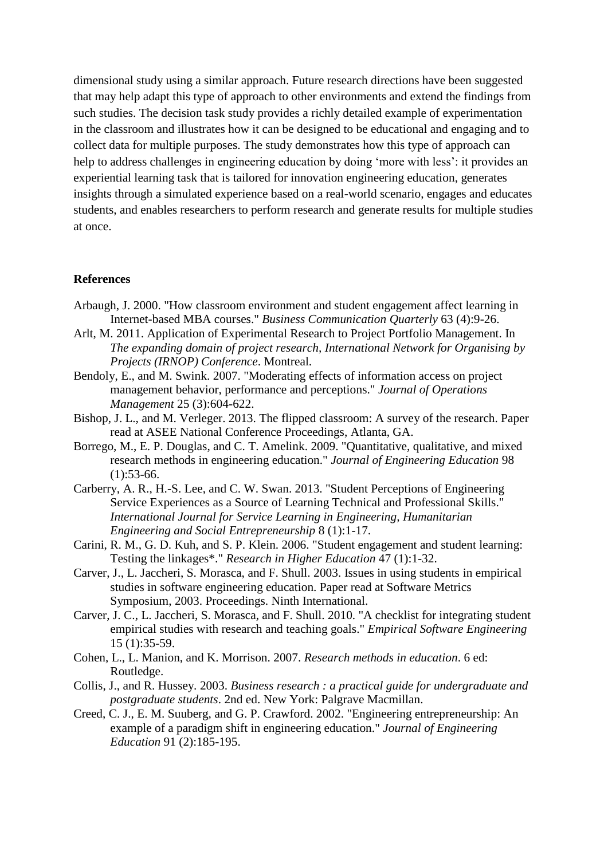dimensional study using a similar approach. Future research directions have been suggested that may help adapt this type of approach to other environments and extend the findings from such studies. The decision task study provides a richly detailed example of experimentation in the classroom and illustrates how it can be designed to be educational and engaging and to collect data for multiple purposes. The study demonstrates how this type of approach can help to address challenges in engineering education by doing 'more with less': it provides an experiential learning task that is tailored for innovation engineering education, generates insights through a simulated experience based on a real-world scenario, engages and educates students, and enables researchers to perform research and generate results for multiple studies at once.

#### **References**

- Arbaugh, J. 2000. "How classroom environment and student engagement affect learning in Internet-based MBA courses." *Business Communication Quarterly* 63 (4):9-26.
- Arlt, M. 2011. Application of Experimental Research to Project Portfolio Management. In *The expanding domain of project research, International Network for Organising by Projects (IRNOP) Conference*. Montreal.
- Bendoly, E., and M. Swink. 2007. "Moderating effects of information access on project management behavior, performance and perceptions." *Journal of Operations Management* 25 (3):604-622.
- Bishop, J. L., and M. Verleger. 2013. The flipped classroom: A survey of the research. Paper read at ASEE National Conference Proceedings, Atlanta, GA.
- Borrego, M., E. P. Douglas, and C. T. Amelink. 2009. "Quantitative, qualitative, and mixed research methods in engineering education." *Journal of Engineering Education* 98 (1):53-66.
- Carberry, A. R., H.-S. Lee, and C. W. Swan. 2013. "Student Perceptions of Engineering Service Experiences as a Source of Learning Technical and Professional Skills." *International Journal for Service Learning in Engineering, Humanitarian Engineering and Social Entrepreneurship* 8 (1):1-17.
- Carini, R. M., G. D. Kuh, and S. P. Klein. 2006. "Student engagement and student learning: Testing the linkages\*." *Research in Higher Education* 47 (1):1-32.
- Carver, J., L. Jaccheri, S. Morasca, and F. Shull. 2003. Issues in using students in empirical studies in software engineering education. Paper read at Software Metrics Symposium, 2003. Proceedings. Ninth International.
- Carver, J. C., L. Jaccheri, S. Morasca, and F. Shull. 2010. "A checklist for integrating student empirical studies with research and teaching goals." *Empirical Software Engineering* 15 (1):35-59.
- Cohen, L., L. Manion, and K. Morrison. 2007. *Research methods in education*. 6 ed: Routledge.
- Collis, J., and R. Hussey. 2003. *Business research : a practical guide for undergraduate and postgraduate students*. 2nd ed. New York: Palgrave Macmillan.
- Creed, C. J., E. M. Suuberg, and G. P. Crawford. 2002. "Engineering entrepreneurship: An example of a paradigm shift in engineering education." *Journal of Engineering Education* 91 (2):185-195.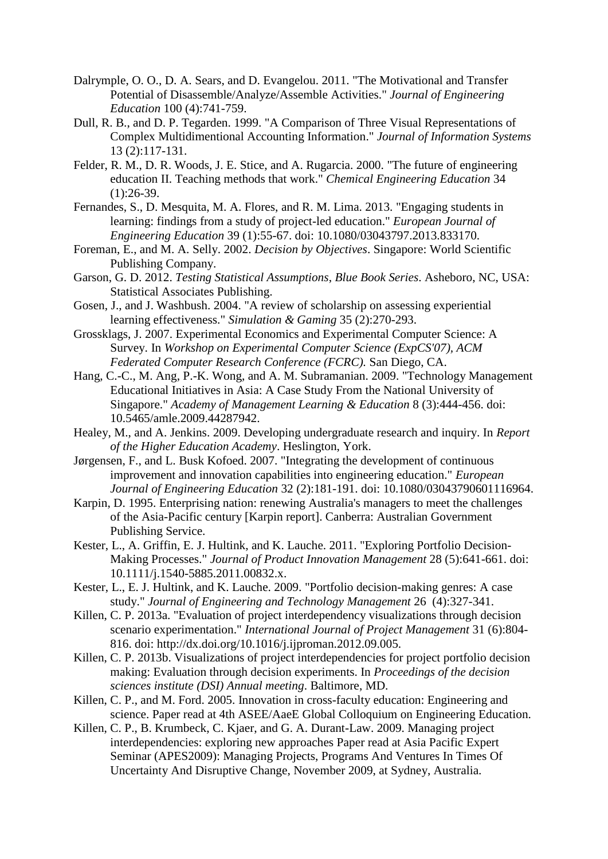- Dalrymple, O. O., D. A. Sears, and D. Evangelou. 2011. "The Motivational and Transfer Potential of Disassemble/Analyze/Assemble Activities." *Journal of Engineering Education* 100 (4):741-759.
- Dull, R. B., and D. P. Tegarden. 1999. "A Comparison of Three Visual Representations of Complex Multidimentional Accounting Information." *Journal of Information Systems* 13 (2):117-131.
- Felder, R. M., D. R. Woods, J. E. Stice, and A. Rugarcia. 2000. "The future of engineering education II. Teaching methods that work." *Chemical Engineering Education* 34  $(1):26-39.$
- Fernandes, S., D. Mesquita, M. A. Flores, and R. M. Lima. 2013. "Engaging students in learning: findings from a study of project-led education." *European Journal of Engineering Education* 39 (1):55-67. doi: 10.1080/03043797.2013.833170.
- Foreman, E., and M. A. Selly. 2002. *Decision by Objectives*. Singapore: World Scientific Publishing Company.
- Garson, G. D. 2012. *Testing Statistical Assumptions*, *Blue Book Series*. Asheboro, NC, USA: Statistical Associates Publishing.
- Gosen, J., and J. Washbush. 2004. "A review of scholarship on assessing experiential learning effectiveness." *Simulation & Gaming* 35 (2):270-293.
- Grossklags, J. 2007. Experimental Economics and Experimental Computer Science: A Survey. In *Workshop on Experimental Computer Science (ExpCS'07), ACM Federated Computer Research Conference (FCRC).* San Diego, CA.
- Hang, C.-C., M. Ang, P.-K. Wong, and A. M. Subramanian. 2009. "Technology Management Educational Initiatives in Asia: A Case Study From the National University of Singapore." *Academy of Management Learning & Education* 8 (3):444-456. doi: 10.5465/amle.2009.44287942.
- Healey, M., and A. Jenkins. 2009. Developing undergraduate research and inquiry. In *Report of the Higher Education Academy*. Heslington, York.
- Jørgensen, F., and L. Busk Kofoed. 2007. "Integrating the development of continuous improvement and innovation capabilities into engineering education." *European Journal of Engineering Education* 32 (2):181-191. doi: 10.1080/03043790601116964.
- Karpin, D. 1995. Enterprising nation: renewing Australia's managers to meet the challenges of the Asia-Pacific century [Karpin report]. Canberra: Australian Government Publishing Service.
- Kester, L., A. Griffin, E. J. Hultink, and K. Lauche. 2011. "Exploring Portfolio Decision-Making Processes." *Journal of Product Innovation Management* 28 (5):641-661. doi: 10.1111/j.1540-5885.2011.00832.x.
- Kester, L., E. J. Hultink, and K. Lauche. 2009. "Portfolio decision-making genres: A case study." *Journal of Engineering and Technology Management* 26 (4):327-341.
- Killen, C. P. 2013a. "Evaluation of project interdependency visualizations through decision scenario experimentation." *International Journal of Project Management* 31 (6):804- 816. doi: http://dx.doi.org/10.1016/j.ijproman.2012.09.005.
- Killen, C. P. 2013b. Visualizations of project interdependencies for project portfolio decision making: Evaluation through decision experiments. In *Proceedings of the decision sciences institute (DSI) Annual meeting*. Baltimore, MD.
- Killen, C. P., and M. Ford. 2005. Innovation in cross-faculty education: Engineering and science. Paper read at 4th ASEE/AaeE Global Colloquium on Engineering Education.
- Killen, C. P., B. Krumbeck, C. Kjaer, and G. A. Durant-Law. 2009. Managing project interdependencies: exploring new approaches Paper read at Asia Pacific Expert Seminar (APES2009): Managing Projects, Programs And Ventures In Times Of Uncertainty And Disruptive Change, November 2009, at Sydney, Australia.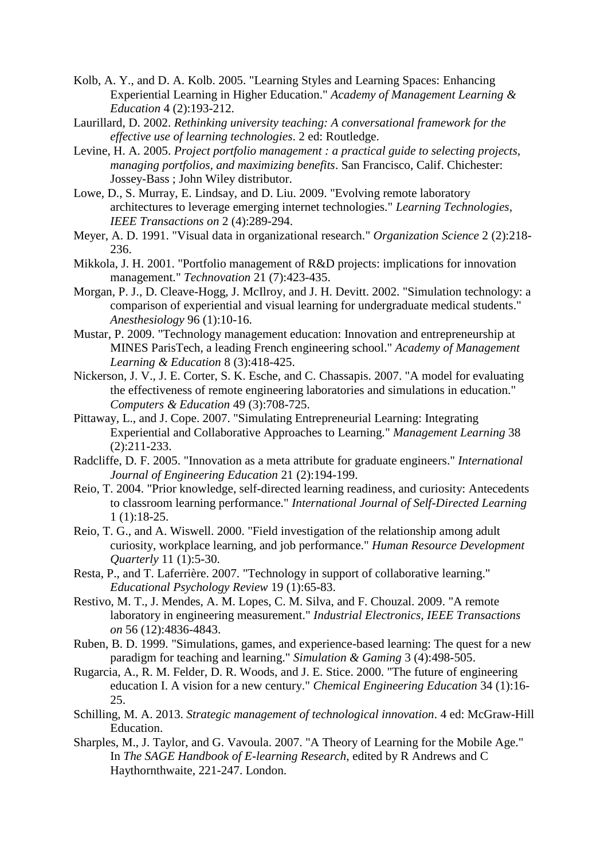- Kolb, A. Y., and D. A. Kolb. 2005. "Learning Styles and Learning Spaces: Enhancing Experiential Learning in Higher Education." *Academy of Management Learning & Education* 4 (2):193-212.
- Laurillard, D. 2002. *Rethinking university teaching: A conversational framework for the effective use of learning technologies*. 2 ed: Routledge.
- Levine, H. A. 2005. *Project portfolio management : a practical guide to selecting projects, managing portfolios, and maximizing benefits*. San Francisco, Calif. Chichester: Jossey-Bass ; John Wiley distributor.
- Lowe, D., S. Murray, E. Lindsay, and D. Liu. 2009. "Evolving remote laboratory architectures to leverage emerging internet technologies." *Learning Technologies, IEEE Transactions on* 2 (4):289-294.
- Meyer, A. D. 1991. "Visual data in organizational research." *Organization Science* 2 (2):218- 236.
- Mikkola, J. H. 2001. "Portfolio management of R&D projects: implications for innovation management." *Technovation* 21 (7):423-435.
- Morgan, P. J., D. Cleave-Hogg, J. McIlroy, and J. H. Devitt. 2002. "Simulation technology: a comparison of experiential and visual learning for undergraduate medical students." *Anesthesiology* 96 (1):10-16.
- Mustar, P. 2009. "Technology management education: Innovation and entrepreneurship at MINES ParisTech, a leading French engineering school." *Academy of Management Learning & Education* 8 (3):418-425.
- Nickerson, J. V., J. E. Corter, S. K. Esche, and C. Chassapis. 2007. "A model for evaluating the effectiveness of remote engineering laboratories and simulations in education." *Computers & Education* 49 (3):708-725.
- Pittaway, L., and J. Cope. 2007. "Simulating Entrepreneurial Learning: Integrating Experiential and Collaborative Approaches to Learning." *Management Learning* 38 (2):211-233.
- Radcliffe, D. F. 2005. "Innovation as a meta attribute for graduate engineers." *International Journal of Engineering Education* 21 (2):194-199.
- Reio, T. 2004. "Prior knowledge, self-directed learning readiness, and curiosity: Antecedents to classroom learning performance." *International Journal of Self-Directed Learning* 1 (1):18-25.
- Reio, T. G., and A. Wiswell. 2000. "Field investigation of the relationship among adult curiosity, workplace learning, and job performance." *Human Resource Development Quarterly* 11 (1):5-30.
- Resta, P., and T. Laferrière. 2007. "Technology in support of collaborative learning." *Educational Psychology Review* 19 (1):65-83.
- Restivo, M. T., J. Mendes, A. M. Lopes, C. M. Silva, and F. Chouzal. 2009. "A remote laboratory in engineering measurement." *Industrial Electronics, IEEE Transactions on* 56 (12):4836-4843.
- Ruben, B. D. 1999. "Simulations, games, and experience-based learning: The quest for a new paradigm for teaching and learning." *Simulation & Gaming* 3 (4):498-505.
- Rugarcia, A., R. M. Felder, D. R. Woods, and J. E. Stice. 2000. "The future of engineering education I. A vision for a new century." *Chemical Engineering Education* 34 (1):16- 25.
- Schilling, M. A. 2013. *Strategic management of technological innovation*. 4 ed: McGraw-Hill Education.
- Sharples, M., J. Taylor, and G. Vavoula. 2007. "A Theory of Learning for the Mobile Age." In *The SAGE Handbook of E-learning Research*, edited by R Andrews and C Haythornthwaite, 221-247. London.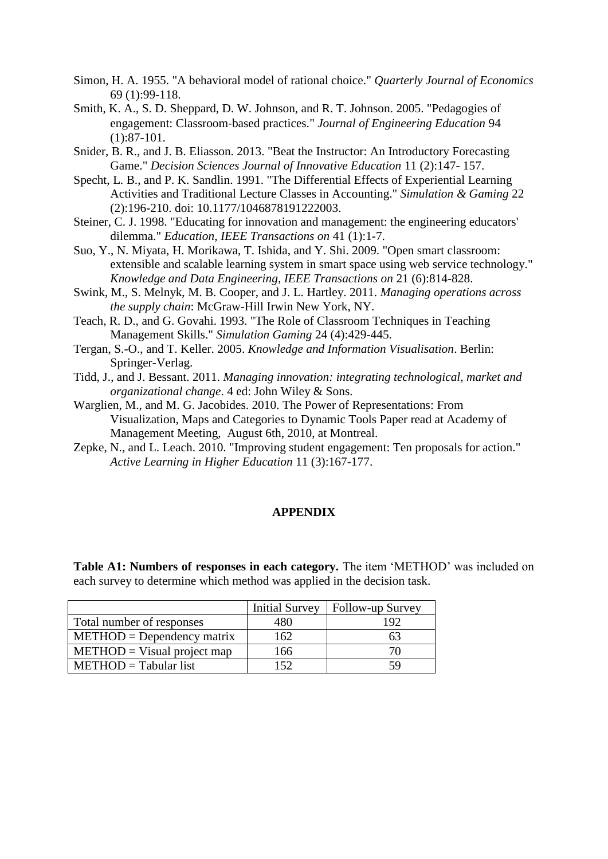- Simon, H. A. 1955. "A behavioral model of rational choice." *Quarterly Journal of Economics* 69 (1):99-118.
- Smith, K. A., S. D. Sheppard, D. W. Johnson, and R. T. Johnson. 2005. "Pedagogies of engagement: Classroom‐based practices." *Journal of Engineering Education* 94 (1):87-101.
- Snider, B. R., and J. B. Eliasson. 2013. "Beat the Instructor: An Introductory Forecasting Game." *Decision Sciences Journal of Innovative Education* 11 (2):147- 157.
- Specht, L. B., and P. K. Sandlin. 1991. "The Differential Effects of Experiential Learning Activities and Traditional Lecture Classes in Accounting." *Simulation & Gaming* 22 (2):196-210. doi: 10.1177/1046878191222003.
- Steiner, C. J. 1998. "Educating for innovation and management: the engineering educators' dilemma." *Education, IEEE Transactions on* 41 (1):1-7.
- Suo, Y., N. Miyata, H. Morikawa, T. Ishida, and Y. Shi. 2009. "Open smart classroom: extensible and scalable learning system in smart space using web service technology." *Knowledge and Data Engineering, IEEE Transactions on* 21 (6):814-828.
- Swink, M., S. Melnyk, M. B. Cooper, and J. L. Hartley. 2011. *Managing operations across the supply chain*: McGraw-Hill Irwin New York, NY.
- Teach, R. D., and G. Govahi. 1993. "The Role of Classroom Techniques in Teaching Management Skills." *Simulation Gaming* 24 (4):429-445.
- Tergan, S.-O., and T. Keller. 2005. *Knowledge and Information Visualisation*. Berlin: Springer-Verlag.
- Tidd, J., and J. Bessant. 2011. *Managing innovation: integrating technological, market and organizational change*. 4 ed: John Wiley & Sons.
- Warglien, M., and M. G. Jacobides. 2010. The Power of Representations: From Visualization, Maps and Categories to Dynamic Tools Paper read at Academy of Management Meeting, August 6th, 2010, at Montreal.
- Zepke, N., and L. Leach. 2010. "Improving student engagement: Ten proposals for action." *Active Learning in Higher Education* 11 (3):167-177.

#### **APPENDIX**

**Table A1: Numbers of responses in each category.** The item "METHOD" was included on each survey to determine which method was applied in the decision task.

|                               | <b>Initial Survey</b> | Follow-up Survey |
|-------------------------------|-----------------------|------------------|
| Total number of responses     | 480                   |                  |
| $METHOD = Dependercy matrix$  | 162                   |                  |
| $METHOD = Visual project map$ | 166                   |                  |
| $METHOD = Tabular$ list       | 52                    |                  |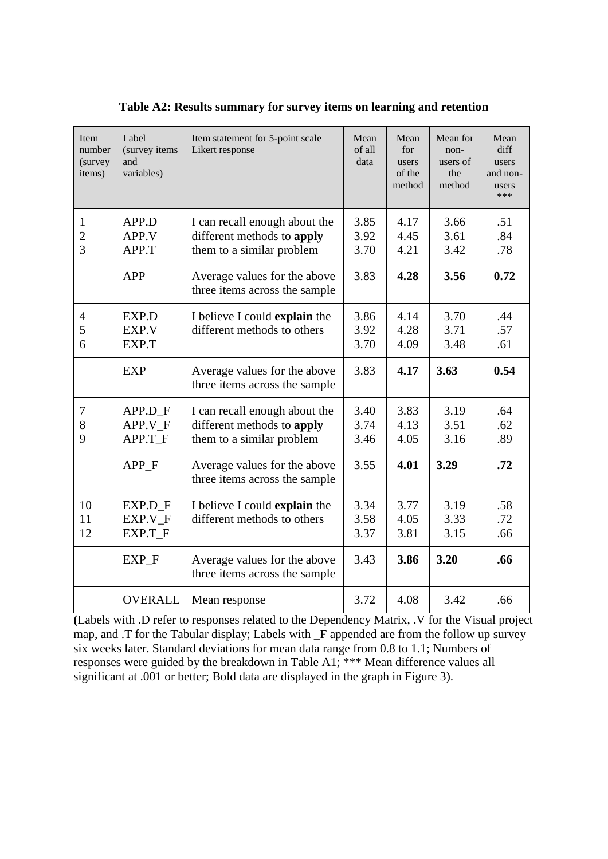| Item<br>number<br>(survey<br>items) | Label<br>(survey items<br>and<br>variables) | Item statement for 5-point scale<br>Likert response                                      | Mean<br>of all<br>data | Mean<br>for<br>users<br>of the<br>method | Mean for<br>non-<br>users of<br>the<br>method | Mean<br>diff<br>users<br>and non-<br>users<br>*** |
|-------------------------------------|---------------------------------------------|------------------------------------------------------------------------------------------|------------------------|------------------------------------------|-----------------------------------------------|---------------------------------------------------|
| 1<br>$\overline{2}$<br>3            | APP.D<br>APP.V<br>APP.T                     | I can recall enough about the<br>different methods to apply<br>them to a similar problem | 3.85<br>3.92<br>3.70   | 4.17<br>4.45<br>4.21                     | 3.66<br>3.61<br>3.42                          | .51<br>.84<br>.78                                 |
|                                     | <b>APP</b>                                  | Average values for the above<br>three items across the sample                            | 3.83                   | 4.28                                     | 3.56                                          | 0.72                                              |
| $\overline{4}$<br>5<br>6            | EXP.D<br>EXP.V<br>EXP.T                     | I believe I could explain the<br>different methods to others                             | 3.86<br>3.92<br>3.70   | 4.14<br>4.28<br>4.09                     | 3.70<br>3.71<br>3.48                          | .44<br>.57<br>.61                                 |
|                                     | <b>EXP</b>                                  | Average values for the above<br>three items across the sample                            | 3.83                   | 4.17                                     | 3.63                                          | 0.54                                              |
| 7<br>8<br>9                         | APP.D F<br>APP.V_F<br>APP.T_F               | I can recall enough about the<br>different methods to apply<br>them to a similar problem | 3.40<br>3.74<br>3.46   | 3.83<br>4.13<br>4.05                     | 3.19<br>3.51<br>3.16                          | .64<br>.62<br>.89                                 |
|                                     | $APP_F$                                     | Average values for the above<br>three items across the sample                            | 3.55                   | 4.01                                     | 3.29                                          | .72                                               |
| 10<br>11<br>12                      | EXP.D_F<br>EXP.V_F<br>EXP.T_F               | I believe I could explain the<br>different methods to others                             | 3.34<br>3.58<br>3.37   | 3.77<br>4.05<br>3.81                     | 3.19<br>3.33<br>3.15                          | .58<br>.72<br>.66                                 |
|                                     | EXP_F                                       | Average values for the above<br>three items across the sample                            | 3.43                   | 3.86                                     | 3.20                                          | .66                                               |
|                                     | <b>OVERALL</b>                              | Mean response                                                                            | 3.72                   | 4.08                                     | 3.42                                          | .66                                               |

**Table A2: Results summary for survey items on learning and retention** 

**(**Labels with .D refer to responses related to the Dependency Matrix, .V for the Visual project map, and .T for the Tabular display; Labels with \_F appended are from the follow up survey six weeks later. Standard deviations for mean data range from 0.8 to 1.1; Numbers of responses were guided by the breakdown in Table A1; \*\*\* Mean difference values all significant at .001 or better; Bold data are displayed in the graph in [Figure 3\)](#page-16-0).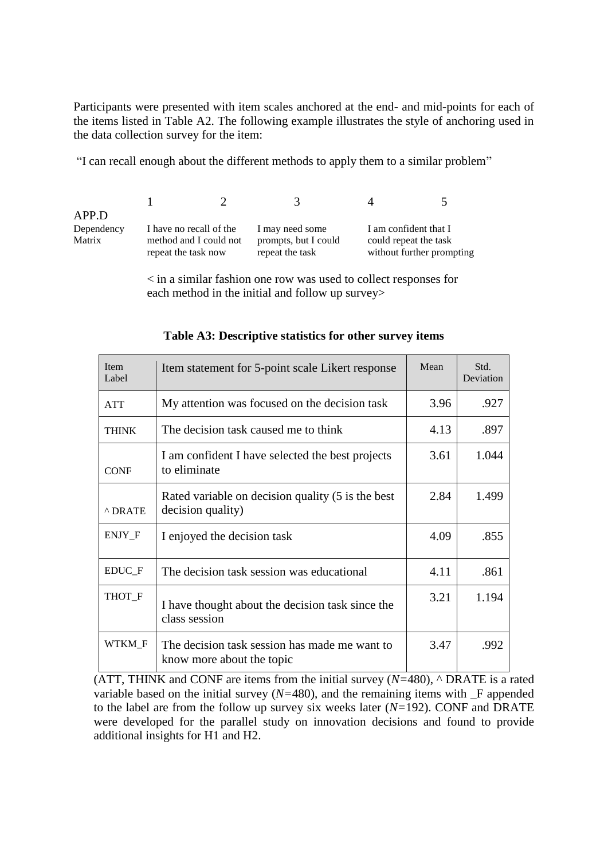Participants were presented with item scales anchored at the end- and mid-points for each of the items listed in Table A2. The following example illustrates the style of anchoring used in the data collection survey for the item:

"I can recall enough about the different methods to apply them to a similar problem"

|                      |                                                                          | $\blacktriangleleft$                                       |                                                                             |
|----------------------|--------------------------------------------------------------------------|------------------------------------------------------------|-----------------------------------------------------------------------------|
| APP.D                |                                                                          |                                                            |                                                                             |
| Dependency<br>Matrix | I have no recall of the<br>method and I could not<br>repeat the task now | I may need some<br>prompts, but I could<br>repeat the task | I am confident that I<br>could repeat the task<br>without further prompting |

< in a similar fashion one row was used to collect responses for each method in the initial and follow up survey>

| Item<br>Label | Item statement for 5-point scale Likert response                           | Mean | Std.<br>Deviation |
|---------------|----------------------------------------------------------------------------|------|-------------------|
| <b>ATT</b>    | My attention was focused on the decision task                              | 3.96 | .927              |
| <b>THINK</b>  | The decision task caused me to think                                       | 4.13 | .897              |
| <b>CONF</b>   | I am confident I have selected the best projects<br>to eliminate           | 3.61 | 1.044             |
| <b>ADRATE</b> | Rated variable on decision quality (5 is the best<br>decision quality)     | 2.84 | 1.499             |
| ENJY_F        | I enjoyed the decision task                                                | 4.09 | .855              |
| EDUC_F        | The decision task session was educational                                  | 4.11 | .861              |
| THOT_F        | I have thought about the decision task since the<br>class session          | 3.21 | 1.194             |
| WTKM_F        | The decision task session has made me want to<br>know more about the topic | 3.47 | .992              |

# **Table A3: Descriptive statistics for other survey items**

(ATT, THINK and CONF are items from the initial survey (*N=*480), ^ DRATE is a rated variable based on the initial survey (*N=*480), and the remaining items with \_F appended to the label are from the follow up survey six weeks later (*N=*192). CONF and DRATE were developed for the parallel study on innovation decisions and found to provide additional insights for H1 and H2.